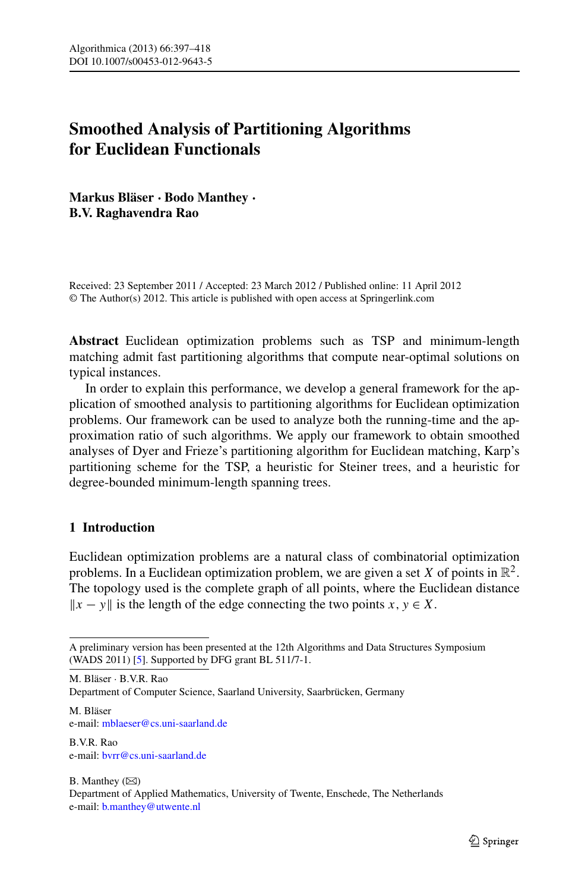# **Smoothed Analysis of Partitioning Algorithms for Euclidean Functionals**

**Markus Bläser** · **Bodo Manthey** · **B.V. Raghavendra Rao**

Received: 23 September 2011 / Accepted: 23 March 2012 / Published online: 11 April 2012 © The Author(s) 2012. This article is published with open access at Springerlink.com

**Abstract** Euclidean optimization problems such as TSP and minimum-length matching admit fast partitioning algorithms that compute near-optimal solutions on typical instances.

In order to explain this performance, we develop a general framework for the application of smoothed analysis to partitioning algorithms for Euclidean optimization problems. Our framework can be used to analyze both the running-time and the approximation ratio of such algorithms. We apply our framework to obtain smoothed analyses of Dyer and Frieze's partitioning algorithm for Euclidean matching, Karp's partitioning scheme for the TSP, a heuristic for Steiner trees, and a heuristic for degree-bounded minimum-length spanning trees.

# **1 Introduction**

Euclidean optimization problems are a natural class of combinatorial optimization problems. In a Euclidean optimization problem, we are given a set X of points in  $\mathbb{R}^2$ . The topology used is the complete graph of all points, where the Euclidean distance  $||x - y||$  is the length of the edge connecting the two points *x*, *y* ∈ *X*.

M. Bläser · B.V.R. Rao Department of Computer Science, Saarland University, Saarbrücken, Germany

M. Bläser e-mail: [mblaeser@cs.uni-saarland.de](mailto:mblaeser@cs.uni-saarland.de)

B.V.R. Rao e-mail: [bvrr@cs.uni-saarland.de](mailto:bvrr@cs.uni-saarland.de)

 $B.$  Manthey  $(\boxtimes)$ Department of Applied Mathematics, University of Twente, Enschede, The Netherlands e-mail: [b.manthey@utwente.nl](mailto:b.manthey@utwente.nl)

A preliminary version has been presented at the 12th Algorithms and Data Structures Symposium (WADS 2011) [\[5](#page-20-0)]. Supported by DFG grant BL 511/7-1.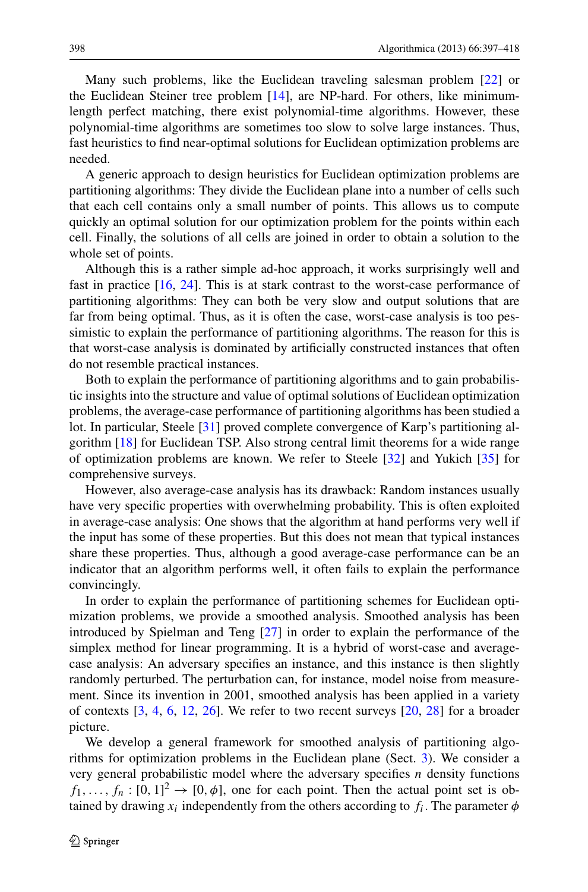Many such problems, like the Euclidean traveling salesman problem [\[22](#page-20-1)] or the Euclidean Steiner tree problem [\[14](#page-20-2)], are NP-hard. For others, like minimumlength perfect matching, there exist polynomial-time algorithms. However, these polynomial-time algorithms are sometimes too slow to solve large instances. Thus, fast heuristics to find near-optimal solutions for Euclidean optimization problems are needed.

A generic approach to design heuristics for Euclidean optimization problems are partitioning algorithms: They divide the Euclidean plane into a number of cells such that each cell contains only a small number of points. This allows us to compute quickly an optimal solution for our optimization problem for the points within each cell. Finally, the solutions of all cells are joined in order to obtain a solution to the whole set of points.

Although this is a rather simple ad-hoc approach, it works surprisingly well and fast in practice [[16,](#page-20-3) [24\]](#page-20-4). This is at stark contrast to the worst-case performance of partitioning algorithms: They can both be very slow and output solutions that are far from being optimal. Thus, as it is often the case, worst-case analysis is too pessimistic to explain the performance of partitioning algorithms. The reason for this is that worst-case analysis is dominated by artificially constructed instances that often do not resemble practical instances.

Both to explain the performance of partitioning algorithms and to gain probabilistic insights into the structure and value of optimal solutions of Euclidean optimization problems, the average-case performance of partitioning algorithms has been studied a lot. In particular, Steele [[31\]](#page-21-0) proved complete convergence of Karp's partitioning algorithm [\[18](#page-20-5)] for Euclidean TSP. Also strong central limit theorems for a wide range of optimization problems are known. We refer to Steele [[32\]](#page-21-1) and Yukich [[35\]](#page-21-2) for comprehensive surveys.

However, also average-case analysis has its drawback: Random instances usually have very specific properties with overwhelming probability. This is often exploited in average-case analysis: One shows that the algorithm at hand performs very well if the input has some of these properties. But this does not mean that typical instances share these properties. Thus, although a good average-case performance can be an indicator that an algorithm performs well, it often fails to explain the performance convincingly.

In order to explain the performance of partitioning schemes for Euclidean optimization problems, we provide a smoothed analysis. Smoothed analysis has been introduced by Spielman and Teng [[27\]](#page-20-6) in order to explain the performance of the simplex method for linear programming. It is a hybrid of worst-case and averagecase analysis: An adversary specifies an instance, and this instance is then slightly randomly perturbed. The perturbation can, for instance, model noise from measurement. Since its invention in 2001, smoothed analysis has been applied in a variety of contexts  $[3, 4, 6, 12, 26]$  $[3, 4, 6, 12, 26]$  $[3, 4, 6, 12, 26]$  $[3, 4, 6, 12, 26]$  $[3, 4, 6, 12, 26]$  $[3, 4, 6, 12, 26]$  $[3, 4, 6, 12, 26]$  $[3, 4, 6, 12, 26]$  $[3, 4, 6, 12, 26]$  $[3, 4, 6, 12, 26]$ . We refer to two recent surveys  $[20, 28]$  $[20, 28]$  $[20, 28]$  $[20, 28]$  for a broader picture.

We develop a general framework for smoothed analysis of partitioning algorithms for optimization problems in the Euclidean plane (Sect. [3](#page-5-0)). We consider a very general probabilistic model where the adversary specifies  $n$  density functions  $f_1, \ldots, f_n : [0, 1]^2 \to [0, \phi]$ , one for each point. Then the actual point set is obtained by drawing  $x_i$  independently from the others according to  $f_i$ . The parameter  $\phi$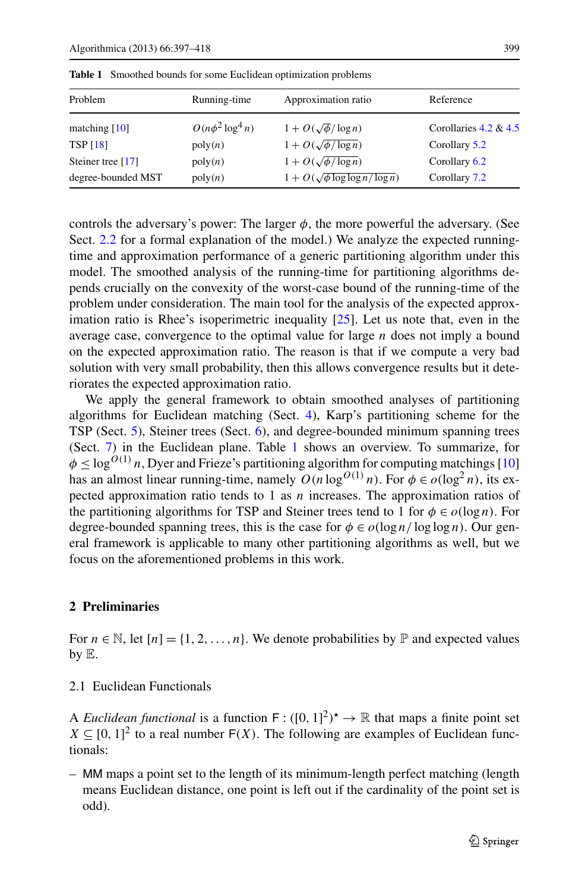| Problem             | Running-time          | Approximation ratio                       | Reference                |
|---------------------|-----------------------|-------------------------------------------|--------------------------|
| matching $[10]$     | $O(n\phi^2 \log^4 n)$ | $1 + O(\sqrt{\phi}/\log n)$               | Corollaries $4.2 \& 4.5$ |
| <b>TSP</b> [18]     | poly(n)               | $1 + O(\sqrt{\phi / \log n})$             | Corollary 5.2            |
| Steiner tree $[17]$ | poly(n)               | $1 + O(\sqrt{\phi / \log n})$             | Corollary 6.2            |
| degree-bounded MST  | poly(n)               | $1 + O(\sqrt{\phi \log \log n / \log n})$ | Corollary 7.2            |

<span id="page-2-0"></span>**Table 1** Smoothed bounds for some Euclidean optimization problems

controls the adversary's power: The larger  $\phi$ , the more powerful the adversary. (See Sect. [2.2](#page-4-0) for a formal explanation of the model.) We analyze the expected runningtime and approximation performance of a generic partitioning algorithm under this model. The smoothed analysis of the running-time for partitioning algorithms depends crucially on the convexity of the worst-case bound of the running-time of the problem under consideration. The main tool for the analysis of the expected approximation ratio is Rhee's isoperimetric inequality [\[25\]](#page-20-15). Let us note that, even in the average case, convergence to the optimal value for large  $n$  does not imply a bound on the expected approximation ratio. The reason is that if we compute a very bad solution with very small probability, then this allows convergence results but it deteriorates the expected approximation ratio.

We apply the general framework to obtain smoothed analyses of partitioning algorithms for Euclidean matching (Sect. [4](#page-12-0)), Karp's partitioning scheme for the TSP (Sect. [5\)](#page-16-0), Steiner trees (Sect. [6\)](#page-17-1), and degree-bounded minimum spanning trees (Sect. [7\)](#page-18-1) in the Euclidean plane. Table [1](#page-2-0) shows an overview. To summarize, for  $\phi \leq \log^{O(1)} n$ , Dyer and Frieze's partitioning algorithm for computing matchings [\[10](#page-20-13)] has an almost linear running-time, namely  $O(n \log^{O(1)} n)$ . For  $\phi \in o(\log^2 n)$ , its expected approximation ratio tends to 1 as  $n$  increases. The approximation ratios of the partitioning algorithms for TSP and Steiner trees tend to 1 for  $\phi \in o(\log n)$ . For degree-bounded spanning trees, this is the case for  $\phi \in o(\log n / \log \log n)$ . Our general framework is applicable to many other partitioning algorithms as well, but we focus on the aforementioned problems in this work.

### **2 Preliminaries**

For  $n \in \mathbb{N}$ , let  $[n] = \{1, 2, ..., n\}$ . We denote probabilities by  $\mathbb{P}$  and expected values by E.

#### 2.1 Euclidean Functionals

A *Euclidean functional* is a function  $F : ([0, 1]^2)^* \to \mathbb{R}$  that maps a finite point set  $X \subseteq [0, 1]^2$  to a real number  $F(X)$ . The following are examples of Euclidean functionals:

– MM maps a point set to the length of its minimum-length perfect matching (length means Euclidean distance, one point is left out if the cardinality of the point set is odd).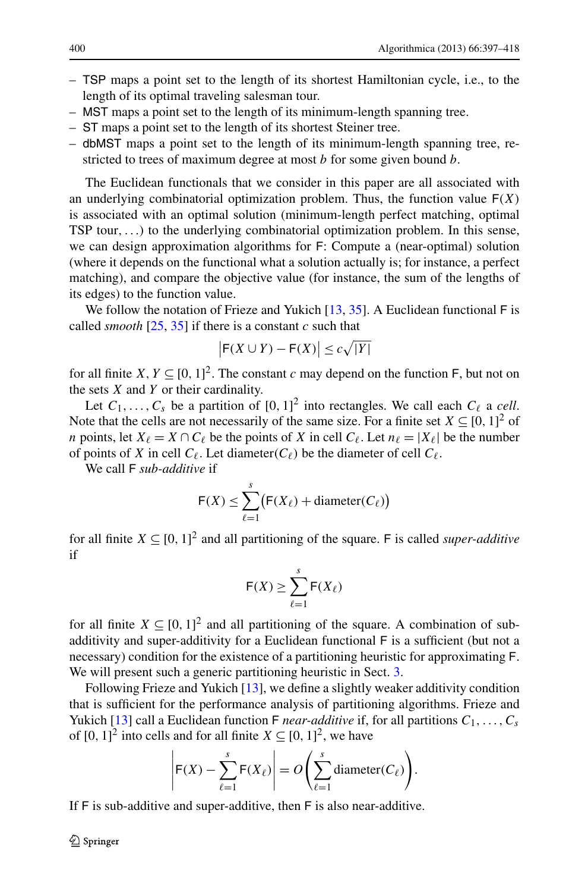- TSP maps a point set to the length of its shortest Hamiltonian cycle, i.e., to the length of its optimal traveling salesman tour.
- MST maps a point set to the length of its minimum-length spanning tree.
- ST maps a point set to the length of its shortest Steiner tree.
- dbMST maps a point set to the length of its minimum-length spanning tree, restricted to trees of maximum degree at most *b* for some given bound *b*.

The Euclidean functionals that we consider in this paper are all associated with an underlying combinatorial optimization problem. Thus, the function value  $F(X)$ is associated with an optimal solution (minimum-length perfect matching, optimal TSP tour,...) to the underlying combinatorial optimization problem. In this sense, we can design approximation algorithms for F: Compute a (near-optimal) solution (where it depends on the functional what a solution actually is; for instance, a perfect matching), and compare the objective value (for instance, the sum of the lengths of its edges) to the function value.

We follow the notation of Frieze and Yukich  $[13, 35]$  $[13, 35]$  $[13, 35]$  $[13, 35]$ . A Euclidean functional F is called *smooth*  $[25, 35]$  $[25, 35]$  $[25, 35]$  $[25, 35]$  if there is a constant c such that

$$
\big|\mathsf{F}(X \cup Y) - \mathsf{F}(X)\big| \le c\sqrt{|Y|}
$$

for all finite  $X, Y \subseteq [0, 1]^2$ . The constant c may depend on the function F, but not on the sets  $X$  and  $Y$  or their cardinality.

Let  $C_1, \ldots, C_s$  be a partition of  $[0, 1]^2$  into rectangles. We call each  $C_\ell$  a *cell*. Note that the cells are not necessarily of the same size. For a finite set  $X \subseteq [0, 1]^2$  of *n* points, let  $X_{\ell} = X \cap C_{\ell}$  be the points of X in cell  $C_{\ell}$ . Let  $n_{\ell} = |X_{\ell}|$  be the number of points of X in cell  $C_{\ell}$ . Let diameter( $C_{\ell}$ ) be the diameter of cell  $C_{\ell}$ .

We call F *sub-additive* if

$$
\mathsf{F}(X) \le \sum_{\ell=1}^s \bigl(\mathsf{F}(X_{\ell}) + \text{diameter}(C_{\ell})\bigr)
$$

for all finite  $X \subseteq [0, 1]^2$  and all partitioning of the square. F is called *super-additive* if

$$
\mathsf{F}(X) \ge \sum_{\ell=1}^s \mathsf{F}(X_\ell)
$$

for all finite  $X \subseteq [0, 1]^2$  and all partitioning of the square. A combination of subadditivity and super-additivity for a Euclidean functional F is a sufficient (but not a necessary) condition for the existence of a partitioning heuristic for approximating F. We will present such a generic partitioning heuristic in Sect. [3](#page-5-0).

Following Frieze and Yukich [[13\]](#page-20-16), we define a slightly weaker additivity condition that is sufficient for the performance analysis of partitioning algorithms. Frieze and Yukich [[13\]](#page-20-16) call a Euclidean function F *near-additive* if, for all partitions  $C_1, \ldots, C_s$ of  $[0, 1]^2$  into cells and for all finite  $X \subseteq [0, 1]^2$ , we have

$$
\left|\mathsf{F}(X) - \sum_{\ell=1}^s \mathsf{F}(X_{\ell})\right| = O\left(\sum_{\ell=1}^s \text{diameter}(C_{\ell})\right).
$$

If F is sub-additive and super-additive, then F is also near-additive.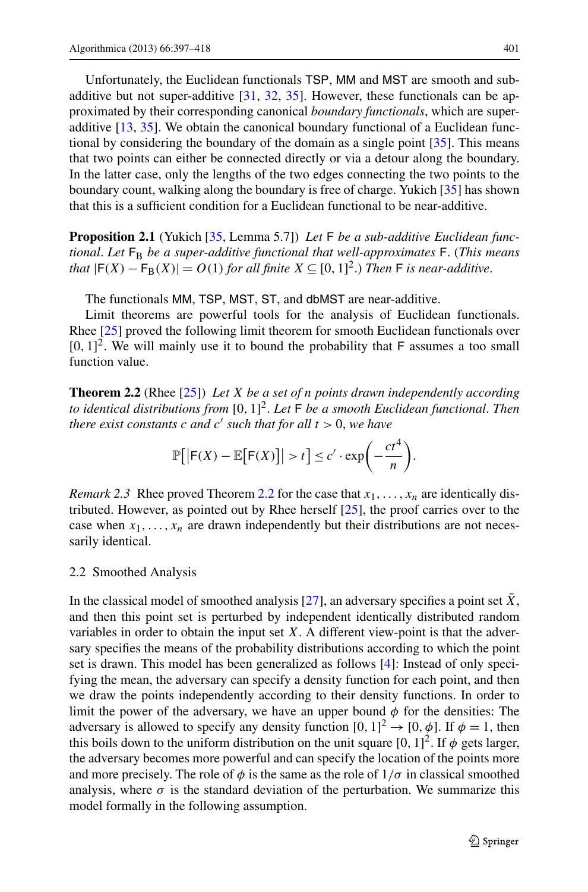<span id="page-4-3"></span>Unfortunately, the Euclidean functionals TSP, MM and MST are smooth and subadditive but not super-additive [\[31](#page-21-0), [32,](#page-21-1) [35\]](#page-21-2). However, these functionals can be approximated by their corresponding canonical *boundary functionals*, which are superadditive [[13,](#page-20-16) [35\]](#page-21-2). We obtain the canonical boundary functional of a Euclidean functional by considering the boundary of the domain as a single point [\[35](#page-21-2)]. This means that two points can either be connected directly or via a detour along the boundary. In the latter case, only the lengths of the two edges connecting the two points to the boundary count, walking along the boundary is free of charge. Yukich [\[35\]](#page-21-2) has shown that this is a sufficient condition for a Euclidean functional to be near-additive.

**Proposition 2.1** (Yukich [[35](#page-21-2), Lemma 5.7]) *Let* F *be a sub-additive Euclidean functional. Let*  $F_B$  *be a super-additive functional that well-approximates* F. (*This means that*  $|F(X) - F_B(X)| = O(1)$  *for all finite*  $X \subseteq [0, 1]^2$ .) *Then*  $F$  *is near-additive.* 

<span id="page-4-1"></span>The functionals MM, TSP, MST, ST, and dbMST are near-additive.

Limit theorems are powerful tools for the analysis of Euclidean functionals. Rhee [\[25](#page-20-15)] proved the following limit theorem for smooth Euclidean functionals over  $[0, 1]^2$ . We will mainly use it to bound the probability that F assumes a too small function value.

<span id="page-4-2"></span>**Theorem 2.2** (Rhee [\[25](#page-20-15)]) *Let* X *be a set of* n *points drawn independently according to identical distributions from* [0, 1] 2 . *Let* F *be a smooth Euclidean functional*. *Then there exist constants* c *and* c ′ *such that for all* t > 0, *we have*

$$
\mathbb{P}\big[\big|\mathsf{F}(X)-\mathbb{E}\big[\mathsf{F}(X)\big]\big|>t\big]\leq c'\cdot\exp\bigg(-\frac{ct^4}{n}\bigg).
$$

<span id="page-4-0"></span>*Remark 2.3* Rhee proved Theorem [2.2](#page-4-1) for the case that  $x_1, \ldots, x_n$  are identically distributed. However, as pointed out by Rhee herself [[25\]](#page-20-15), the proof carries over to the case when  $x_1, \ldots, x_n$  are drawn independently but their distributions are not necessarily identical.

#### 2.2 Smoothed Analysis

In the classical model of smoothed analysis  $[27]$  $[27]$ , an adversary specifies a point set X, and then this point set is perturbed by independent identically distributed random variables in order to obtain the input set  $X$ . A different view-point is that the adversary specifies the means of the probability distributions according to which the point set is drawn. This model has been generalized as follows [\[4](#page-20-8)]: Instead of only specifying the mean, the adversary can specify a density function for each point, and then we draw the points independently according to their density functions. In order to limit the power of the adversary, we have an upper bound  $\phi$  for the densities: The adversary is allowed to specify any density function  $[0, 1]^2 \rightarrow [0, \phi]$ . If  $\phi = 1$ , then this boils down to the uniform distribution on the unit square  $[0, 1]^2$ . If  $\phi$  gets larger, the adversary becomes more powerful and can specify the location of the points more and more precisely. The role of  $\phi$  is the same as the role of  $1/\sigma$  in classical smoothed analysis, where  $\sigma$  is the standard deviation of the perturbation. We summarize this model formally in the following assumption.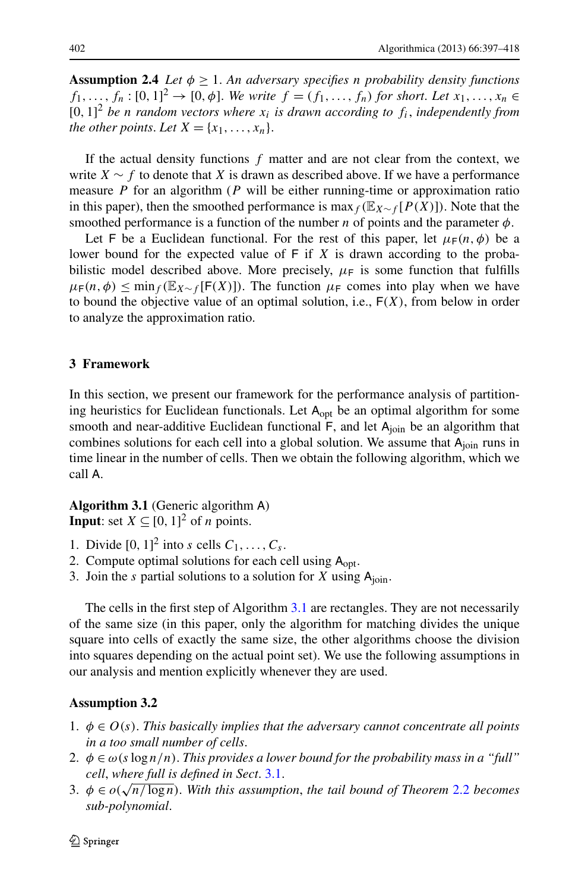<span id="page-5-5"></span>**Assumption 2.4** *Let*  $\phi \geq 1$ *. An adversary specifies n probability density functions*  $f_1, ..., f_n : [0, 1]^2$  →  $[0, \phi]$ . *We write*  $f = (f_1, ..., f_n)$  *for short. Let*  $x_1, ..., x_n$  ∈  $[0, 1]^2$  *be n random vectors where*  $x_i$  *is drawn according to*  $f_i$ *, independently from the other points. Let*  $X = \{x_1, \ldots, x_n\}$ .

If the actual density functions  $f$  matter and are not clear from the context, we write  $X \sim f$  to denote that X is drawn as described above. If we have a performance measure  $P$  for an algorithm ( $P$  will be either running-time or approximation ratio in this paper), then the smoothed performance is max  $_f$  (E<sub>X∼f</sub> [P(X)]). Note that the smoothed performance is a function of the number n of points and the parameter  $\phi$ .

<span id="page-5-0"></span>Let F be a Euclidean functional. For the rest of this paper, let  $\mu_F(n, \phi)$  be a lower bound for the expected value of  $F$  if  $X$  is drawn according to the probabilistic model described above. More precisely,  $\mu_F$  is some function that fulfills  $\mu_F(n, \phi) \le \min_{f} (\mathbb{E}_{X \sim f} [F(X)])$ . The function  $\mu_F$  comes into play when we have to bound the objective value of an optimal solution, i.e.,  $F(X)$ , from below in order to analyze the approximation ratio.

# **3 Framework**

<span id="page-5-1"></span>In this section, we present our framework for the performance analysis of partitioning heuristics for Euclidean functionals. Let  $A<sub>opt</sub>$  be an optimal algorithm for some smooth and near-additive Euclidean functional  $F$ , and let  $A_{\text{ioin}}$  be an algorithm that combines solutions for each cell into a global solution. We assume that  $A_{\text{join}}$  runs in time linear in the number of cells. Then we obtain the following algorithm, which we call A.

**Algorithm 3.1** (Generic algorithm A) **Input**: set  $X \subseteq [0, 1]^2$  of *n* points.

- 1. Divide  $[0, 1]^2$  into s cells  $C_1, \ldots, C_s$ .
- 2. Compute optimal solutions for each cell using  $A_{\text{opt}}$ .
- <span id="page-5-2"></span>3. Join the s partial solutions to a solution for X using  $A_{\text{ioin}}$ .

<span id="page-5-4"></span><span id="page-5-3"></span>The cells in the first step of Algorithm [3.1](#page-5-1) are rectangles. They are not necessarily of the same size (in this paper, only the algorithm for matching divides the unique square into cells of exactly the same size, the other algorithms choose the division into squares depending on the actual point set). We use the following assumptions in our analysis and mention explicitly whenever they are used.

## <span id="page-5-6"></span>**Assumption 3.2**

- 1. φ ∈ O(s). *This basically implies that the adversary cannot concentrate all points in a too small number of cells*.
- 2.  $\phi \in \omega(s \log n/n)$ . *This provides a lower bound for the probability mass in a "full" cell*, *where full is defined in Sect*. [3.1.](#page-6-0)
- 3.  $\phi \in o(\sqrt{n/\log n})$ . With this assumption, the tail bound of Theorem [2.2](#page-4-1) becomes *sub-polynomial*.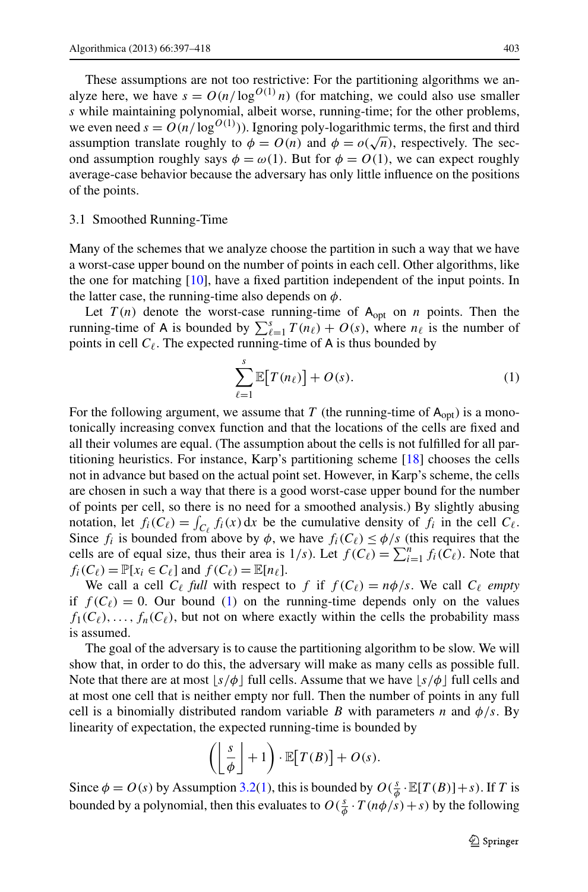<span id="page-6-0"></span>These assumptions are not too restrictive: For the partitioning algorithms we analyze here, we have  $s = O(n/\log^{O(1)} n)$  (for matching, we could also use smaller s while maintaining polynomial, albeit worse, running-time; for the other problems, we even need  $s = O(n/\log^{O(1)}))$ . Ignoring poly-logarithmic terms, the first and third assumption translate roughly to  $\phi = O(n)$  and  $\phi = o(\sqrt{n})$ , respectively. The second assumption roughly says  $\phi = \omega(1)$ . But for  $\phi = O(1)$ , we can expect roughly average-case behavior because the adversary has only little influence on the positions of the points.

#### 3.1 Smoothed Running-Time

Many of the schemes that we analyze choose the partition in such a way that we have a worst-case upper bound on the number of points in each cell. Other algorithms, like the one for matching [\[10](#page-20-13)], have a fixed partition independent of the input points. In the latter case, the running-time also depends on  $\phi$ .

Let  $T(n)$  denote the worst-case running-time of  $A_{opt}$  on n points. Then the running-time of A is bounded by  $\sum_{\ell=1}^{s} T(n_{\ell}) + O(s)$ , where  $n_{\ell}$  is the number of points in cell  $C_{\ell}$ . The expected running-time of A is thus bounded by

<span id="page-6-1"></span>
$$
\sum_{\ell=1}^{s} \mathbb{E}[T(n_{\ell})] + O(s).
$$
 (1)

For the following argument, we assume that T (the running-time of  $A_{opt}$ ) is a monotonically increasing convex function and that the locations of the cells are fixed and all their volumes are equal. (The assumption about the cells is not fulfilled for all partitioning heuristics. For instance, Karp's partitioning scheme [[18\]](#page-20-5) chooses the cells not in advance but based on the actual point set. However, in Karp's scheme, the cells are chosen in such a way that there is a good worst-case upper bound for the number of points per cell, so there is no need for a smoothed analysis.) By slightly abusing notation, let  $f_i(C_\ell) = \int_{C_\ell} f_i(x) dx$  be the cumulative density of  $f_i$  in the cell  $C_\ell$ . Since  $f_i$  is bounded from above by  $\phi$ , we have  $f_i(C_\ell) \leq \phi/s$  (this requires that the cells are of equal size, thus their area is  $1/s$ . Let  $f(C_\ell) = \sum_{i=1}^n f_i(C_\ell)$ . Note that  $f_i(C_\ell) = \mathbb{P}[x_i \in C_\ell]$  and  $f(C_\ell) = \mathbb{E}[n_\ell]$ .

We call a cell  $C_{\ell}$  *full* with respect to f if  $f(C_{\ell}) = n\phi/s$ . We call  $C_{\ell}$  *empty* if  $f(C_\ell) = 0$ . Our bound ([1\)](#page-6-1) on the running-time depends only on the values  $f_1(C_\ell), \ldots, f_n(C_\ell)$ , but not on where exactly within the cells the probability mass is assumed.

The goal of the adversary is to cause the partitioning algorithm to be slow. We will show that, in order to do this, the adversary will make as many cells as possible full. Note that there are at most  $\lfloor s/\phi \rfloor$  full cells. Assume that we have  $\lfloor s/\phi \rfloor$  full cells and at most one cell that is neither empty nor full. Then the number of points in any full cell is a binomially distributed random variable B with parameters n and  $\phi/s$ . By linearity of expectation, the expected running-time is bounded by

$$
\left(\left\lfloor\frac{s}{\phi}\right\rfloor+1\right)\cdot\mathbb{E}\big[T(B)\big]+O(s).
$$

Since  $\phi = O(s)$  by Assumption [3.2\(](#page-5-2)[1\)](#page-5-3), this is bounded by  $O(\frac{s}{\phi} \cdot \mathbb{E}[T(B)] + s)$ . If T is bounded by a polynomial, then this evaluates to  $O(\frac{s}{\phi} \cdot T(n\phi/s) + s)$  by the following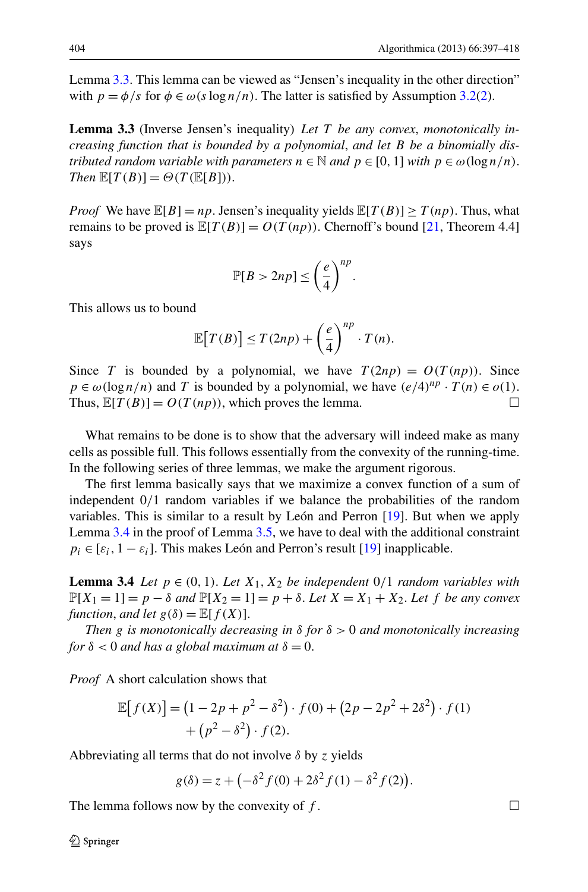<span id="page-7-0"></span>Lemma [3.3.](#page-7-0) This lemma can be viewed as "Jensen's inequality in the other direction" with  $p = \phi/s$  for  $\phi \in \omega(s \log n/n)$ . The latter is satisfied by Assumption [3.2](#page-5-2)[\(2](#page-5-4)).

**Lemma 3.3** (Inverse Jensen's inequality) *Let* T *be any convex*, *monotonically increasing function that is bounded by a polynomial*, *and let* B *be a binomially distributed random variable with parameters*  $n \in \mathbb{N}$  *and*  $p \in [0, 1]$  *with*  $p \in \omega(\log n/n)$ . *Then*  $\mathbb{E}[T(B)] = \Theta(T(\mathbb{E}[B]))$ .

*Proof* We have  $\mathbb{E}[B] = np$ . Jensen's inequality yields  $\mathbb{E}[T(B)] \geq T(np)$ . Thus, what remains to be proved is  $\mathbb{E}[T(B)] = O(T(np))$ . Chernoff's bound [[21,](#page-20-17) Theorem 4.4] says

$$
\mathbb{P}[B > 2np] \le \left(\frac{e}{4}\right)^{np}.
$$

This allows us to bound

$$
\mathbb{E}[T(B)] \leq T(2np) + \left(\frac{e}{4}\right)^{np} \cdot T(n).
$$

Since T is bounded by a polynomial, we have  $T(2np) = O(T(np))$ . Since  $p \in \omega(\log n/n)$  and T is bounded by a polynomial, we have  $(e/4)^{np} \cdot T(n) \in o(1)$ . Thus,  $\mathbb{E}[T(B)] = O(T(np))$ , which proves the lemma.

<span id="page-7-1"></span>What remains to be done is to show that the adversary will indeed make as many cells as possible full. This follows essentially from the convexity of the running-time. In the following series of three lemmas, we make the argument rigorous.

The first lemma basically says that we maximize a convex function of a sum of independent 0/1 random variables if we balance the probabilities of the random variables. This is similar to a result by León and Perron [\[19](#page-20-18)]. But when we apply Lemma [3.4](#page-7-1) in the proof of Lemma [3.5,](#page-8-0) we have to deal with the additional constraint  $p_i \in [\varepsilon_i, 1 - \varepsilon_i]$ . This makes León and Perron's result [[19\]](#page-20-18) inapplicable.

**Lemma 3.4** *Let*  $p \in (0, 1)$ *. Let*  $X_1, X_2$  *be independent* 0/1 *random variables with*  $\mathbb{P}[X_1 = 1] = p - \delta$  and  $\mathbb{P}[X_2 = 1] = p + \delta$ . Let  $X = X_1 + X_2$ . Let f be any convex *function, and let*  $g(\delta) = \mathbb{E}[f(X)]$ .

*Then* g *is monotonically decreasing in* δ *for* δ > 0 *and monotonically increasing for*  $\delta$  < 0 *and has a global maximum at*  $\delta$  = 0.

*Proof* A short calculation shows that

$$
\mathbb{E}[f(X)] = (1 - 2p + p^2 - \delta^2) \cdot f(0) + (2p - 2p^2 + 2\delta^2) \cdot f(1) + (p^2 - \delta^2) \cdot f(2).
$$

Abbreviating all terms that do not involve  $\delta$  by z yields

$$
g(\delta) = z + \left(-\delta^2 f(0) + 2\delta^2 f(1) - \delta^2 f(2)\right).
$$

The lemma follows now by the convexity of f.  $\Box$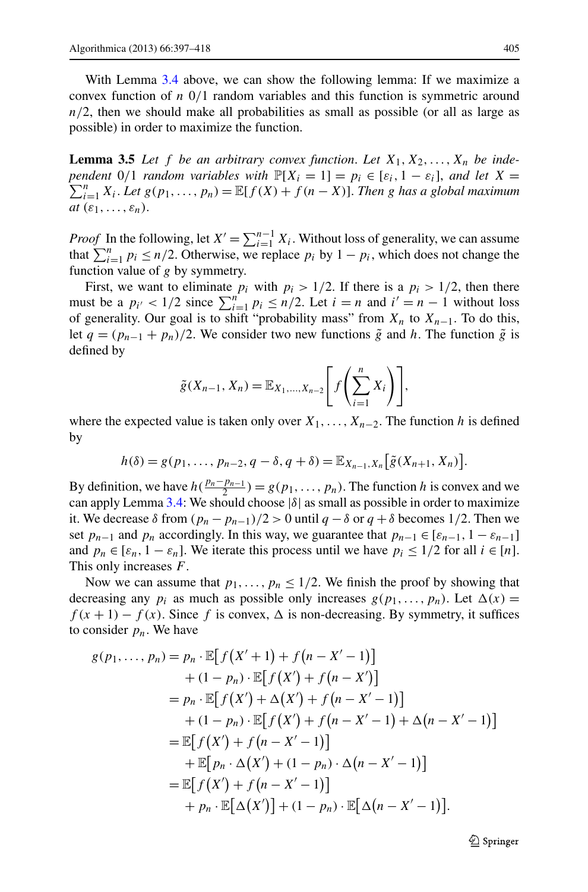<span id="page-8-0"></span>With Lemma [3.4](#page-7-1) above, we can show the following lemma: If we maximize a convex function of  $n \frac{0}{1}$  random variables and this function is symmetric around  $n/2$ , then we should make all probabilities as small as possible (or all as large as possible) in order to maximize the function.

**Lemma 3.5** Let f be an arbitrary convex function. Let  $X_1, X_2, \ldots, X_n$  be inde*pendent* 0/1 *random variables with*  $\mathbb{P}[X_i = 1] = p_i \in [\varepsilon_i, 1 - \varepsilon_i]$ , *and let*  $X = \sum_{i=1}^{n} p_i$  $\sum_{i=1}^{n} X_i$ . Let  $g(p_1, ..., p_n) = \mathbb{E}[f(X) + f(n-X)].$  Then g has a global maximum *at*  $(\varepsilon_1, \ldots, \varepsilon_n)$ .

*Proof* In the following, let  $X' = \sum_{i=1}^{n-1} X_i$ . Without loss of generality, we can assume that  $\sum_{i=1}^{n} p_i \le n/2$ . Otherwise, we replace  $p_i$  by  $1 - p_i$ , which does not change the function value of  $g$  by symmetry.

First, we want to eliminate  $p_i$  with  $p_i > 1/2$ . If there is a  $p_i > 1/2$ , then there must be a  $p_{i'} < 1/2$  since  $\sum_{i=1}^{n} p_i \le n/2$ . Let  $i = n$  and  $i' = n - 1$  without loss of generality. Our goal is to shift "probability mass" from  $X_n$  to  $X_{n-1}$ . To do this, let  $q = (p_{n-1} + p_n)/2$ . We consider two new functions  $\tilde{g}$  and h. The function  $\tilde{g}$  is defined by

$$
\tilde{g}(X_{n-1}, X_n) = \mathbb{E}_{X_1, ..., X_{n-2}} \left[ f\left(\sum_{i=1}^n X_i\right) \right],
$$

where the expected value is taken only over  $X_1, \ldots, X_{n-2}$ . The function h is defined by

$$
h(\delta) = g(p_1, \ldots, p_{n-2}, q - \delta, q + \delta) = \mathbb{E}_{X_{n-1}, X_n} \big[ \tilde{g}(X_{n+1}, X_n) \big].
$$

By definition, we have  $h(\frac{p_n-p_{n-1}}{2}) = g(p_1,\ldots,p_n)$ . The function h is convex and we can apply Lemma [3.4:](#page-7-1) We should choose  $|\delta|$  as small as possible in order to maximize it. We decrease  $\delta$  from  $\frac{(p_n - p_{n-1})}{2} > 0$  until  $q - \delta$  or  $q + \delta$  becomes 1/2. Then we set  $p_{n-1}$  and  $p_n$  accordingly. In this way, we guarantee that  $p_{n-1} \in [\varepsilon_{n-1}, 1 - \varepsilon_{n-1}]$ and  $p_n \in [\varepsilon_n, 1 - \varepsilon_n]$ . We iterate this process until we have  $p_i \leq 1/2$  for all  $i \in [n]$ . This only increases F.

Now we can assume that  $p_1, \ldots, p_n \leq 1/2$ . We finish the proof by showing that decreasing any  $p_i$  as much as possible only increases  $g(p_1, ..., p_n)$ . Let  $\Delta(x) =$  $f(x+1) - f(x)$ . Since f is convex,  $\Delta$  is non-decreasing. By symmetry, it suffices to consider  $p_n$ . We have

$$
g(p_1,..., p_n) = p_n \cdot \mathbb{E}[f(X'+1) + f(n - X'-1)]
$$
  
+ (1 - p\_n) \cdot \mathbb{E}[f(X') + f(n - X')]  
= p\_n \cdot \mathbb{E}[f(X') + \Delta(X') + f(n - X'-1)]  
+ (1 - p\_n) \cdot \mathbb{E}[f(X') + f(n - X'-1) + \Delta(n - X'-1)]  
= \mathbb{E}[f(X') + f(n - X'-1)]  
+ \mathbb{E}[p\_n \cdot \Delta(X') + (1 - p\_n) \cdot \Delta(n - X'-1)]  
= \mathbb{E}[f(X') + f(n - X'-1)]  
+ p\_n \cdot \mathbb{E}[\Delta(X')] + (1 - p\_n) \cdot \mathbb{E}[\Delta(n - X'-1)].

 $\otimes$  Springer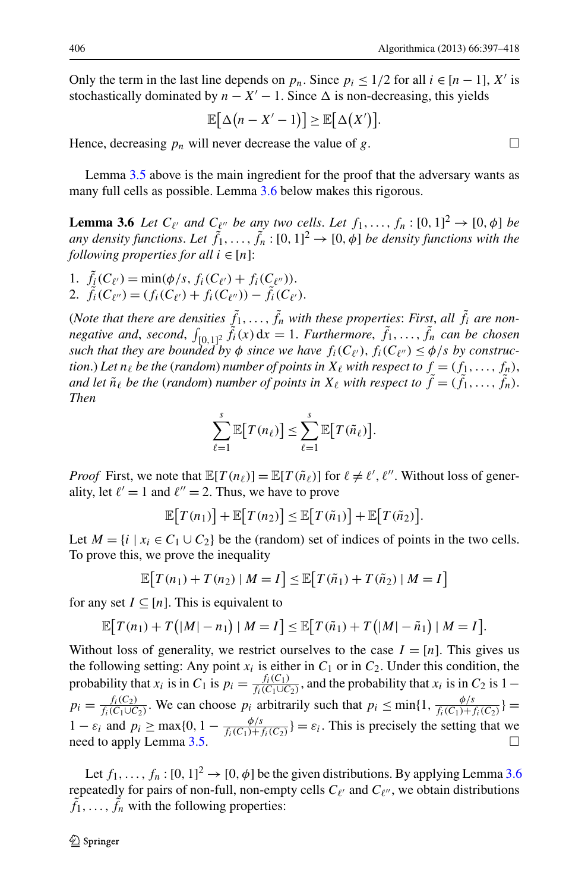<span id="page-9-0"></span>Only the term in the last line depends on  $p_n$ . Since  $p_i \le 1/2$  for all  $i \in [n-1]$ , X' is stochastically dominated by  $n - X' - 1$ . Since  $\Delta$  is non-decreasing, this yields

$$
\mathbb{E}[\Delta(n-X'-1)] \geq \mathbb{E}[\Delta(X')].
$$

Hence, decreasing  $p_n$  will never decrease the value of g.

Lemma [3.5](#page-8-0) above is the main ingredient for the proof that the adversary wants as many full cells as possible. Lemma [3.6](#page-9-0) below makes this rigorous.

**Lemma 3.6** *Let*  $C_{\ell'}$  *and*  $C_{\ell''}$  *be any two cells. Let*  $f_1, \ldots, f_n : [0, 1]^2 \rightarrow [0, \phi]$  *be* any density functions. Let  $\tilde{f}_1, \ldots, \tilde{f}_n : [0, 1]^2 \to [0, \phi]$  be density functions with the *following properties for all*  $i \in [n]$ :

1.  $f_i(C_{\ell'}) = \min(\phi/s, f_i(C_{\ell'}) + f_i(C_{\ell''}))$ .

2.  $f_i(C_{\ell''}) = (f_i(C_{\ell'}) + f_i(C_{\ell''})) - f_i(C_{\ell'}).$ 

(*Note that there are densities*  $f_1, \ldots, f_n$  with these properties: *First*, all  $f_i$  are non*negative and, second,*  $\int_{[0,1]^2} f_i(x) dx = 1$ . *Furthermore,*  $f_1, \ldots, f_n$  *can be chosen*<br>*auch that then are hounded by a since we have*  $f(G_n) \leq f_i(x)$  by separature. *such that they are bounded by*  $\phi$  *since we have*  $f_i(C_{\ell'})$ ,  $f_i(C_{\ell''}) \leq \phi/s$  *by construction.*) Let  $n_\ell$  be the (random) number of points in  $X_\ell$  with respect to  $f = (f_1, \ldots, f_n)$ , *and let*  $\tilde{n}_{\ell}$  *be the (random) number of points in*  $X_{\ell}$  *with respect to*  $f = (f_1, \ldots, f_n)$ . *Then*

$$
\sum_{\ell=1}^s \mathbb{E}\big[T(n_\ell)\big] \leq \sum_{\ell=1}^s \mathbb{E}\big[T(\tilde{n}_\ell)\big].
$$

*Proof* First, we note that  $\mathbb{E}[T(n_\ell)] = \mathbb{E}[T(\tilde{n}_\ell)]$  for  $\ell \neq \ell', \ell''$ . Without loss of generality, let  $\ell' = 1$  and  $\ell'' = 2$ . Thus, we have to prove

$$
\mathbb{E}[T(n_1)] + \mathbb{E}[T(n_2)] \leq \mathbb{E}[T(\tilde{n}_1)] + \mathbb{E}[T(\tilde{n}_2)].
$$

Let  $M = \{i \mid x_i \in C_1 \cup C_2\}$  be the (random) set of indices of points in the two cells. To prove this, we prove the inequality

$$
\mathbb{E}\big[T(n_1)+T(n_2)\mid M=I\big] \leq \mathbb{E}\big[T(\tilde{n}_1)+T(\tilde{n}_2)\mid M=I\big]
$$

for any set  $I \subseteq [n]$ . This is equivalent to

$$
\mathbb{E}\big[T(n_1)+T\big(|M|-n_1\big)|M=I\big]\leq \mathbb{E}\big[T(\tilde{n}_1)+T\big(|M|-\tilde{n}_1\big)|M=I\big].
$$

Without loss of generality, we restrict ourselves to the case  $I = [n]$ . This gives us the following setting: Any point  $x_i$  is either in  $C_1$  or in  $C_2$ . Under this condition, the probability that  $x_i$  is in  $C_1$  is  $p_i = \frac{f_i(C_1)}{f_i(C_1 \cup C_2)}$  $\frac{f_i(C_1)}{f_i(C_1\cup C_2)}$ , and the probability that  $x_i$  is in  $C_2$  is 1 –  $p_i = \frac{f_i(C_2)}{f_i(C_1 \cup C)}$  $\frac{f_i(C_2)}{f_i(C_1 \cup C_2)}$ . We can choose  $p_i$  arbitrarily such that  $p_i \le \min\{1, \frac{\phi/s}{f_i(C_1) + \phi/s}\}$  $\frac{f_i(C_1)+f_i(C_2)}{f_i(C_1)+f_i(C_2)}$ } 1 –  $\varepsilon_i$  and  $p_i \ge \max\{0, 1 - \frac{\phi/s}{f_i(C_1)+1}\}$  $\frac{\varphi_{i}}{f_i(C_1) + f_i(C_2)}$  =  $\varepsilon_i$ . This is precisely the setting that we need to apply Lemma [3.5](#page-8-0).  $\Box$ 

Let  $f_1, \ldots, f_n : [0, 1]^2 \to [0, \phi]$  be the given distributions. By applying Lemma [3.6](#page-9-0) repeatedly for pairs of non-full, non-empty cells  $C_{\ell'}$  and  $C_{\ell''}$ , we obtain distributions  $f_1, \ldots, f_n$  with the following properties: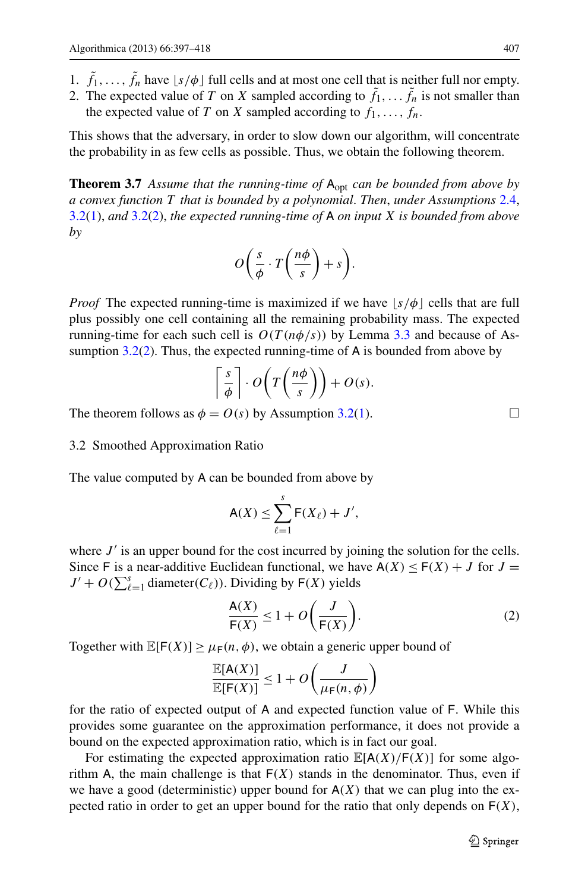- <span id="page-10-1"></span>1.  $f_1, \ldots, f_n$  have  $\lfloor s/\phi \rfloor$  full cells and at most one cell that is neither full nor empty.
- 2. The expected value of T on X sampled according to  $f_1, \ldots, f_n$  is not smaller than the expected value of T on X sampled according to  $f_1, \ldots, f_n$ .

This shows that the adversary, in order to slow down our algorithm, will concentrate the probability in as few cells as possible. Thus, we obtain the following theorem.

**Theorem 3.7** Assume that the running-time of  $A_{opt}$  can be bounded from above by *a convex function* T *that is bounded by a polynomial*. *Then*, *under Assumptions* [2.4](#page-5-5), [3.2](#page-5-2)([1\)](#page-5-3), *and* [3.2\(](#page-5-2)[2\)](#page-5-4), *the expected running-time of* A *on input* X *is bounded from above by*

$$
O\bigg(\frac{s}{\phi}\cdot T\bigg(\frac{n\phi}{s}\bigg)+s\bigg).
$$

*Proof* The expected running-time is maximized if we have  $|s/\phi|$  cells that are full plus possibly one cell containing all the remaining probability mass. The expected running-time for each such cell is  $O(T(n\phi/s))$  by Lemma [3.3](#page-7-0) and because of Assumption [3.2\(](#page-5-2)[2](#page-5-4)). Thus, the expected running-time of A is bounded from above by

$$
\left\lceil \frac{s}{\phi} \right\rceil \cdot O\left(T\left(\frac{n\phi}{s}\right)\right) + O(s).
$$

The theorem follows as  $\phi = O(s)$  by Assumption [3.2\(](#page-5-2)[1](#page-5-3)).

3.2 Smoothed Approximation Ratio

The value computed by A can be bounded from above by

<span id="page-10-0"></span>
$$
\mathsf{A}(X) \le \sum_{\ell=1}^s \mathsf{F}(X_\ell) + J',
$$

where  $J'$  is an upper bound for the cost incurred by joining the solution for the cells. Since F is a near-additive Euclidean functional, we have  $A(X) \leq F(X) + J$  for  $J =$  $J' + O(\sum_{\ell=1}^s \text{diameter}(C_{\ell}))$ . Dividing by  $F(X)$  yields

$$
\frac{A(X)}{F(X)} \le 1 + O\left(\frac{J}{F(X)}\right). \tag{2}
$$

Together with  $\mathbb{E}[F(X)] \ge \mu_F(n, \phi)$ , we obtain a generic upper bound of

$$
\frac{\mathbb{E}[\mathsf{A}(X)]}{\mathbb{E}[\mathsf{F}(X)]} \le 1 + O\left(\frac{J}{\mu_{\mathsf{F}}(n,\phi)}\right)
$$

for the ratio of expected output of A and expected function value of F. While this provides some guarantee on the approximation performance, it does not provide a bound on the expected approximation ratio, which is in fact our goal.

For estimating the expected approximation ratio  $\mathbb{E}[A(X)/F(X)]$  for some algorithm A, the main challenge is that  $F(X)$  stands in the denominator. Thus, even if we have a good (deterministic) upper bound for  $A(X)$  that we can plug into the expected ratio in order to get an upper bound for the ratio that only depends on  $F(X)$ ,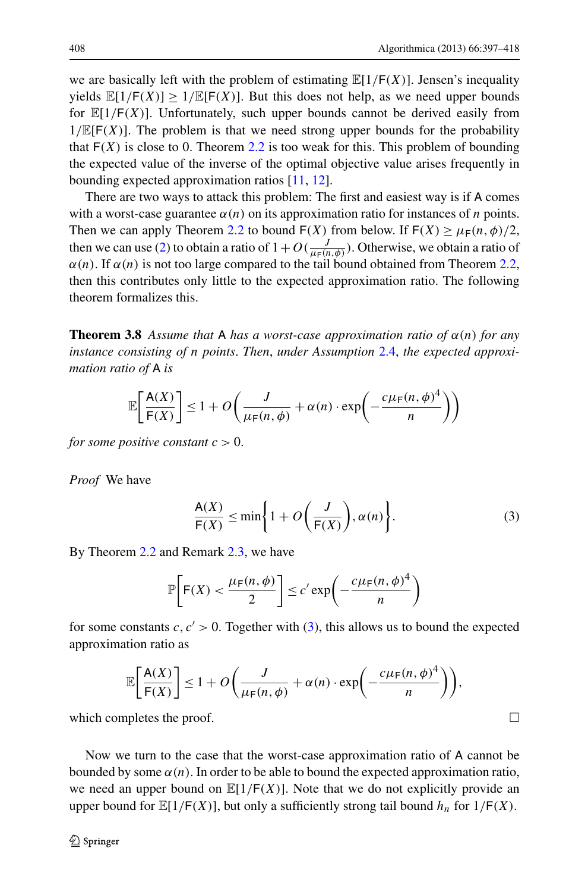we are basically left with the problem of estimating  $\mathbb{E}[1/F(X)]$ . Jensen's inequality yields  $\mathbb{E}[1/F(X)] > 1/\mathbb{E}[F(X)]$ . But this does not help, as we need upper bounds for  $\mathbb{E}[1/F(X)]$ . Unfortunately, such upper bounds cannot be derived easily from  $1/\mathbb{E}[F(X)]$ . The problem is that we need strong upper bounds for the probability that  $F(X)$  is close to 0. Theorem [2.2](#page-4-1) is too weak for this. This problem of bounding the expected value of the inverse of the optimal objective value arises frequently in bounding expected approximation ratios [\[11](#page-20-19), [12](#page-20-10)].

<span id="page-11-1"></span>There are two ways to attack this problem: The first and easiest way is if A comes with a worst-case guarantee  $\alpha(n)$  on its approximation ratio for instances of n points. Then we can apply Theorem [2.2](#page-4-1) to bound  $F(X)$  from below. If  $F(X) \ge \mu_F(n, \phi)/2$ , then we can use [\(2](#page-10-0)) to obtain a ratio of  $1 + O(\frac{J}{\mu_F(n,\phi)})$ . Otherwise, we obtain a ratio of  $\alpha(n)$ . If  $\alpha(n)$  is not too large compared to the tail bound obtained from Theorem [2.2](#page-4-1), then this contributes only little to the expected approximation ratio. The following theorem formalizes this.

**Theorem 3.8** *Assume that* A *has a worst-case approximation ratio of*  $\alpha(n)$  *for any instance consisting of* n *points*. *Then*, *under Assumption* [2.4,](#page-5-5) *the expected approximation ratio of* A *is*

$$
\mathbb{E}\left[\frac{A(X)}{F(X)}\right] \le 1 + O\left(\frac{J}{\mu_F(n,\phi)} + \alpha(n) \cdot \exp\left(-\frac{c\mu_F(n,\phi)^4}{n}\right)\right)
$$

*for some positive constant*  $c > 0$ .

*Proof* We have

<span id="page-11-0"></span>
$$
\frac{A(X)}{F(X)} \le \min\left\{1 + O\left(\frac{J}{F(X)}\right), \alpha(n)\right\}.
$$
 (3)

By Theorem [2.2](#page-4-1) and Remark [2.3,](#page-4-2) we have

$$
\mathbb{P}\bigg[\mathsf{F}(X) < \frac{\mu_{\mathsf{F}}(n,\phi)}{2}\bigg] \le c' \exp\bigg(-\frac{c\mu_{\mathsf{F}}(n,\phi)^4}{n}\bigg)
$$

for some constants c,  $c' > 0$ . Together with ([3\)](#page-11-0), this allows us to bound the expected approximation ratio as

$$
\mathbb{E}\bigg[\frac{A(X)}{F(X)}\bigg] \le 1 + O\bigg(\frac{J}{\mu_F(n,\phi)} + \alpha(n) \cdot \exp\bigg(-\frac{c\mu_F(n,\phi)^4}{n}\bigg)\bigg),
$$

which completes the proof.

Now we turn to the case that the worst-case approximation ratio of A cannot be bounded by some  $\alpha(n)$ . In order to be able to bound the expected approximation ratio, we need an upper bound on  $\mathbb{E}[1/\mathsf{F}(X)]$ . Note that we do not explicitly provide an upper bound for  $\mathbb{E}[1/\mathsf{F}(X)]$ , but only a sufficiently strong tail bound  $h_n$  for  $1/\mathsf{F}(X)$ .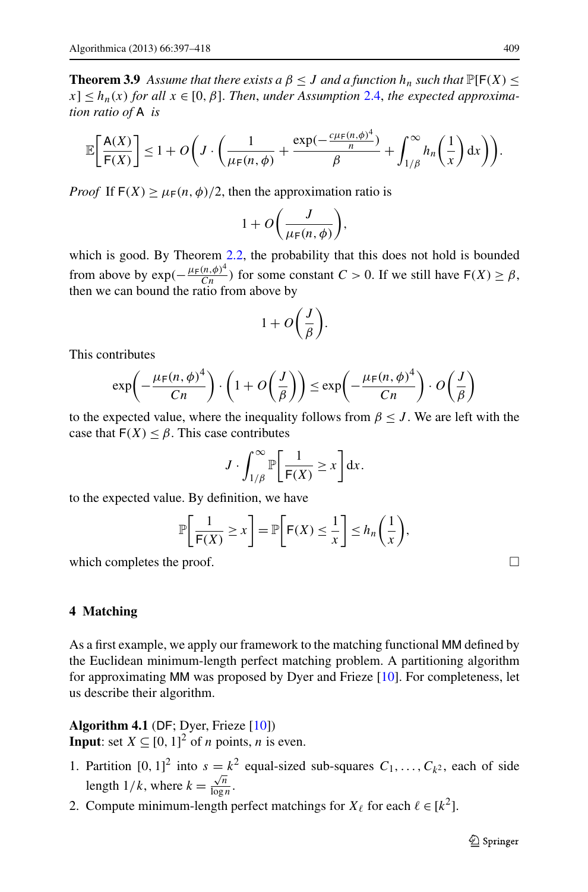<span id="page-12-1"></span>**Theorem 3.9** *Assume that there exists a*  $\beta \leq J$  *and a function*  $h_n$  *such that*  $\mathbb{P}[\mathsf{F}(X)] \leq$  $|x| \leq h_n(x)$  for all  $x \in [0, \beta]$ . Then, under Assumption [2.4,](#page-5-5) the expected approxima*tion ratio of* A *is*

$$
\mathbb{E}\bigg[\frac{A(X)}{\mathsf{F}(X)}\bigg] \leq 1 + O\bigg(J \cdot \bigg(\frac{1}{\mu_{\mathsf{F}}(n,\phi)} + \frac{\exp(-\frac{c\mu_{\mathsf{F}}(n,\phi)^4}{n})}{\beta} + \int_{1/\beta}^{\infty} h_n\bigg(\frac{1}{x}\bigg) dx\bigg)\bigg).
$$

*Proof* If  $F(X) \ge \mu_F(n, \phi)/2$ , then the approximation ratio is

$$
1 + O\bigg(\frac{J}{\mu_{\mathsf{F}}(n,\phi)}\bigg),
$$

which is good. By Theorem [2.2,](#page-4-1) the probability that this does not hold is bounded from above by  $\exp(-\frac{\mu_F(n,\phi)^4}{Cn})$  for some constant  $C > 0$ . If we still have  $F(X) \ge \beta$ , then we can bound the ratio from above by

$$
1 + O\left(\frac{J}{\beta}\right).
$$

This contributes

$$
\exp\left(-\frac{\mu_F(n,\phi)^4}{Cn}\right) \cdot \left(1 + O\left(\frac{J}{\beta}\right)\right) \le \exp\left(-\frac{\mu_F(n,\phi)^4}{Cn}\right) \cdot O\left(\frac{J}{\beta}\right)
$$

to the expected value, where the inequality follows from  $\beta \leq J$ . We are left with the case that  $F(X) \leq \beta$ . This case contributes

$$
J \cdot \int_{1/\beta}^{\infty} \mathbb{P}\bigg[\frac{1}{\mathsf{F}(X)} \geq x\bigg] \mathrm{d}x.
$$

<span id="page-12-0"></span>to the expected value. By definition, we have

$$
\mathbb{P}\bigg[\frac{1}{\mathsf{F}(X)} \ge x\bigg] = \mathbb{P}\bigg[\mathsf{F}(X) \le \frac{1}{x}\bigg] \le h_n\bigg(\frac{1}{x}\bigg),
$$

which completes the proof.  $\Box$ 

**4 Matching**

As a first example, we apply our framework to the matching functional MM defined by the Euclidean minimum-length perfect matching problem. A partitioning algorithm for approximating MM was proposed by Dyer and Frieze [\[10\]](#page-20-13). For completeness, let us describe their algorithm.

# **Algorithm 4.1** (DF; Dyer, Frieze [\[10](#page-20-13)])

**Input**: set  $X \subseteq [0, 1]^2$  of *n* points, *n* is even.

- 1. Partition  $[0, 1]^2$  into  $s = k^2$  equal-sized sub-squares  $C_1, \ldots, C_{k^2}$ , each of side length  $1/k$ , where  $k = \frac{\sqrt{n}}{\log n}$  $\frac{\sqrt{n}}{\log n}$ .
- 2. Compute minimum-length perfect matchings for  $X_{\ell}$  for each  $\ell \in [k^2]$ .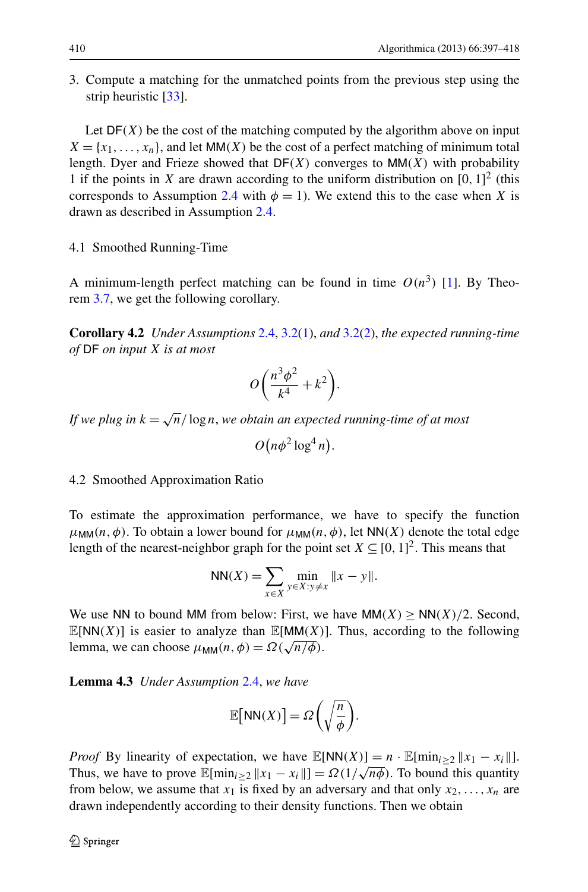3. Compute a matching for the unmatched points from the previous step using the strip heuristic [[33\]](#page-21-4).

Let  $DF(X)$  be the cost of the matching computed by the algorithm above on input  $X = \{x_1, \ldots, x_n\}$ , and let MM(X) be the cost of a perfect matching of minimum total length. Dyer and Frieze showed that  $DF(X)$  converges to MM $(X)$  with probability 1 if the points in X are drawn according to the uniform distribution on  $[0, 1]^2$  (this corresponds to Assumption [2.4](#page-5-5) with  $\phi = 1$ ). We extend this to the case when X is drawn as described in Assumption [2.4.](#page-5-5)

# <span id="page-13-0"></span>4.1 Smoothed Running-Time

A minimum-length perfect matching can be found in time  $O(n^3)$  [[1\]](#page-19-1). By Theorem [3.7](#page-10-1), we get the following corollary.

**Corollary 4.2** *Under Assumptions* [2.4,](#page-5-5) [3.2\(](#page-5-2)[1](#page-5-3)), *and* [3.2\(](#page-5-2)[2](#page-5-4)), *the expected running-time of* DF *on input* X *is at most*

$$
O\left(\frac{n^3\phi^2}{k^4} + k^2\right).
$$

*If we plug in*  $k = \sqrt{n}/\log n$ , *we obtain an expected running-time of at most* 

$$
O\left(n\phi^2\log^4 n\right).
$$

## 4.2 Smoothed Approximation Ratio

<span id="page-13-1"></span>To estimate the approximation performance, we have to specify the function  $\mu_{MM}(n, \phi)$ . To obtain a lower bound for  $\mu_{MM}(n, \phi)$ , let NN(X) denote the total edge length of the nearest-neighbor graph for the point set  $X \subseteq [0, 1]^2$ . This means that

NN(X) = 
$$
\sum_{x \in X} \min_{y \in X: y \neq x} ||x - y||
$$
.

We use NN to bound MM from below: First, we have  $MM(X) \geq NN(X)/2$ . Second,  $\mathbb{E}[NN(X)]$  is easier to analyze than  $\mathbb{E}[MM(X)]$ . Thus, according to the following lemma, we can choose  $\mu_{\text{MM}}(n, \phi) = \Omega(\sqrt{n/\phi})$ .

**Lemma 4.3** *Under Assumption* [2.4,](#page-5-5) *we have*

$$
\mathbb{E}\big[\mathsf{NN}(X)\big] = \Omega\bigg(\sqrt{\frac{n}{\phi}}\bigg).
$$

*Proof* By linearity of expectation, we have  $\mathbb{E}[NN(X)] = n \cdot \mathbb{E}[\min_{i \ge 2} ||x_1 - x_i||]$ . Thus, we have to prove  $\mathbb{E}[\min_{i \geq 2} ||x_1 - x_i||] = \Omega(1/\sqrt{n\phi})$ . To bound this quantity from below, we assume that  $x_1$  is fixed by an adversary and that only  $x_2, \ldots, x_n$  are drawn independently according to their density functions. Then we obtain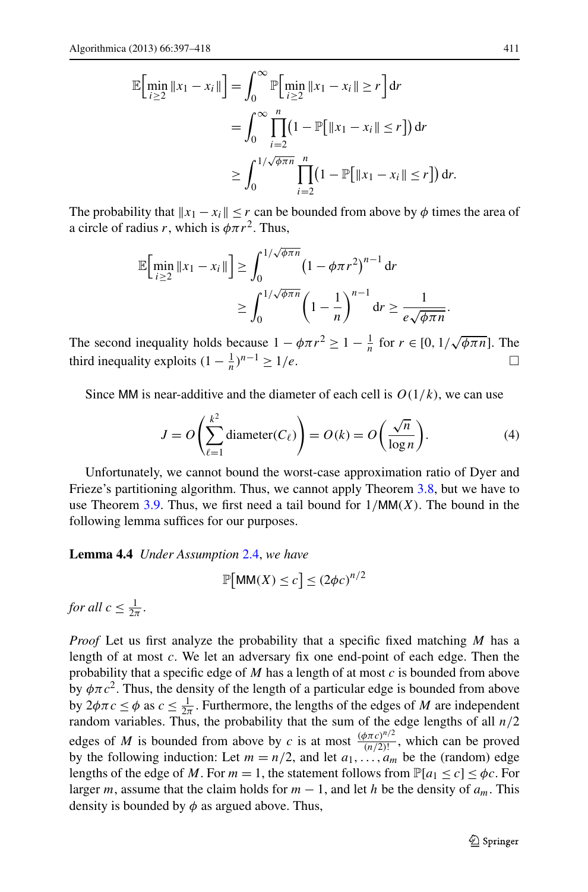$$
\mathbb{E}\Big[\min_{i\geq 2} \|x_1 - x_i\|\Big] = \int_0^\infty \mathbb{P}\Big[\min_{i\geq 2} \|x_1 - x_i\| \geq r\Big] dr
$$
  
= 
$$
\int_0^\infty \prod_{i=2}^n (1 - \mathbb{P}[\|x_1 - x_i\| \leq r]) dr
$$
  

$$
\geq \int_0^{1/\sqrt{\theta \pi n}} \prod_{i=2}^n (1 - \mathbb{P}[\|x_1 - x_i\| \leq r]) dr.
$$

The probability that  $||x_1 - x_i|| \leq r$  can be bounded from above by  $\phi$  times the area of a circle of radius r, which is  $\phi \pi r^2$ . Thus,

$$
\mathbb{E}\Big[\min_{i\geq 2} \|x_1 - x_i\|\Big] \geq \int_0^{1/\sqrt{\phi \pi n}} \left(1 - \phi \pi r^2\right)^{n-1} dr
$$

$$
\geq \int_0^{1/\sqrt{\phi \pi n}} \left(1 - \frac{1}{n}\right)^{n-1} dr \geq \frac{1}{e\sqrt{\phi \pi n}}
$$

The second inequality holds because  $1 - \phi \pi r^2 \ge 1 - \frac{1}{n}$  for  $r \in [0, 1/\sqrt{\phi \pi n}]$ . The third inequality exploits  $(1 - \frac{1}{n})^{n-1} \ge 1/e$ .  $\Box$ 

Since MM is near-additive and the diameter of each cell is  $O(1/k)$ , we can use

$$
J = O\left(\sum_{\ell=1}^{k^2} \text{diameter}(C_{\ell})\right) = O(k) = O\left(\frac{\sqrt{n}}{\log n}\right).
$$
 (4)

<span id="page-14-0"></span>Unfortunately, we cannot bound the worst-case approximation ratio of Dyer and Frieze's partitioning algorithm. Thus, we cannot apply Theorem [3.8,](#page-11-1) but we have to use Theorem [3.9.](#page-12-1) Thus, we first need a tail bound for  $1/MM(X)$ . The bound in the following lemma suffices for our purposes.

**Lemma 4.4** *Under Assumption* [2.4,](#page-5-5) *we have*

$$
\mathbb{P}[\text{MM}(X) \le c] \le (2\phi c)^{n/2}
$$

*for all*  $c \leq \frac{1}{2\pi}$ .

*Proof* Let us first analyze the probability that a specific fixed matching M has a length of at most c. We let an adversary fix one end-point of each edge. Then the probability that a specific edge of  $M$  has a length of at most  $c$  is bounded from above by  $\phi \pi c^2$ . Thus, the density of the length of a particular edge is bounded from above by  $2\phi \pi c \le \phi$  as  $c \le \frac{1}{2\pi}$ . Furthermore, the lengths of the edges of *M* are independent random variables. Thus, the probability that the sum of the edge lengths of all  $n/2$ edges of M is bounded from above by c is at most  $\frac{(\phi \pi c)^{n/2}}{(n/2)!}$ , which can be proved<br>by the following induction Let  $m = n/2$  and let  $n = 1$  be the (nondam) adopt by the following induction: Let  $m = n/2$ , and let  $a_1, \ldots, a_m$  be the (random) edge lengths of the edge of M. For  $m = 1$ , the statement follows from  $\mathbb{P}[a_1 \le c] \le \phi_c$ . For larger m, assume that the claim holds for  $m - 1$ , and let h be the density of  $a_m$ . This density is bounded by  $\phi$  as argued above. Thus,

<span id="page-14-1"></span>.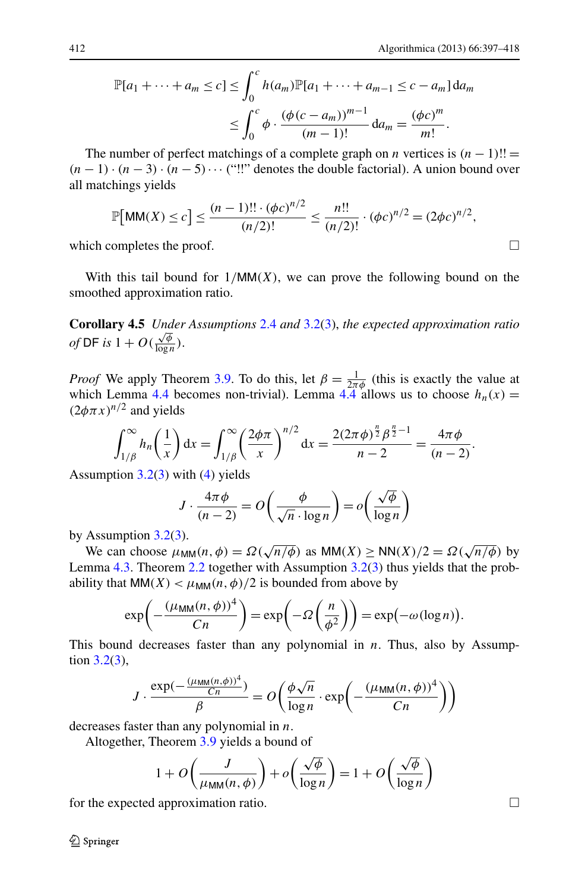$$
\mathbb{P}[a_1 + \dots + a_m \le c] \le \int_0^c h(a_m) \mathbb{P}[a_1 + \dots + a_{m-1} \le c - a_m] da_m
$$
  

$$
\le \int_0^c \phi \cdot \frac{(\phi(c - a_m))^{m-1}}{(m-1)!} da_m = \frac{(\phi c)^m}{m!}.
$$

The number of perfect matchings of a complete graph on *n* vertices is  $(n - 1)!!$  =  $(n-1) \cdot (n-3) \cdot (n-5) \cdots$  ("!!" denotes the double factorial). A union bound over all matchings yields

$$
\mathbb{P}\big[\text{MM}(X) \le c\big] \le \frac{(n-1)!! \cdot (\phi c)^{n/2}}{(n/2)!} \le \frac{n!!}{(n/2)!} \cdot (\phi c)^{n/2} = (2\phi c)^{n/2},
$$

<span id="page-15-0"></span>which completes the proof.  $\Box$ 

With this tail bound for  $1/MM(X)$ , we can prove the following bound on the smoothed approximation ratio.

**Corollary 4.5** *Under Assumptions* [2.4](#page-5-5) *and* [3.2\(](#page-5-2)[3\)](#page-5-6), *the expected approximation ratio of* DF *is*  $1 + O(\frac{\sqrt{\phi}}{\log n})$  $\frac{\sqrt{\varphi}}{\log n}$ ).

*Proof* We apply Theorem [3.9.](#page-12-1) To do this, let  $\beta = \frac{1}{2\pi\phi}$  (this is exactly the value at which Lemma [4.4](#page-14-0) becomes non-trivial). Lemma  $4.4$  allows us to choose  $h_n(x) =$  $(2\phi \pi x)^{n/2}$  and yields

$$
\int_{1/\beta}^{\infty} h_n\left(\frac{1}{x}\right) dx = \int_{1/\beta}^{\infty} \left(\frac{2\phi\pi}{x}\right)^{n/2} dx = \frac{2(2\pi\phi)^{\frac{n}{2}}\beta^{\frac{n}{2}-1}}{n-2} = \frac{4\pi\phi}{(n-2)}.
$$

Assumption  $3.2(3)$  $3.2(3)$  $3.2(3)$  with  $(4)$  $(4)$  yields

$$
J \cdot \frac{4\pi\phi}{(n-2)} = O\left(\frac{\phi}{\sqrt{n} \cdot \log n}\right) = o\left(\frac{\sqrt{\phi}}{\log n}\right)
$$

by Assumption  $3.2(3)$  $3.2(3)$  $3.2(3)$ .

We can choose  $\mu_{\text{MM}}(n, \phi) = \Omega(\sqrt{n/\phi})$  as  $\text{MM}(X) \ge \text{NN}(X)/2 = \Omega(\sqrt{n/\phi})$  by Lemma [4.3](#page-13-1). Theorem [2.2](#page-4-1) together with Assumption [3.2\(](#page-5-2)[3](#page-5-6)) thus yields that the probability that  $MM(X) < \mu_{MM}(n, \phi)/2$  is bounded from above by

$$
\exp\left(-\frac{(\mu_{\text{MM}}(n,\phi))^4}{Cn}\right) = \exp\left(-\Omega\left(\frac{n}{\phi^2}\right)\right) = \exp(-\omega(\log n)).
$$

This bound decreases faster than any polynomial in  $n$ . Thus, also by Assumption [3.2](#page-5-2)([3\)](#page-5-6),

$$
J \cdot \frac{\exp(-\frac{(\mu_{\text{MM}}(n,\phi))^4}{Cn})}{\beta} = O\left(\frac{\phi\sqrt{n}}{\log n} \cdot \exp\left(-\frac{(\mu_{\text{MM}}(n,\phi))^4}{Cn}\right)\right)
$$

decreases faster than any polynomial in  $n$ .

Altogether, Theorem [3.9](#page-12-1) yields a bound of

$$
1 + O\left(\frac{J}{\mu_{\text{MM}}(n,\phi)}\right) + o\left(\frac{\sqrt{\phi}}{\log n}\right) = 1 + O\left(\frac{\sqrt{\phi}}{\log n}\right)
$$

for the expected approximation ratio.

2 Springer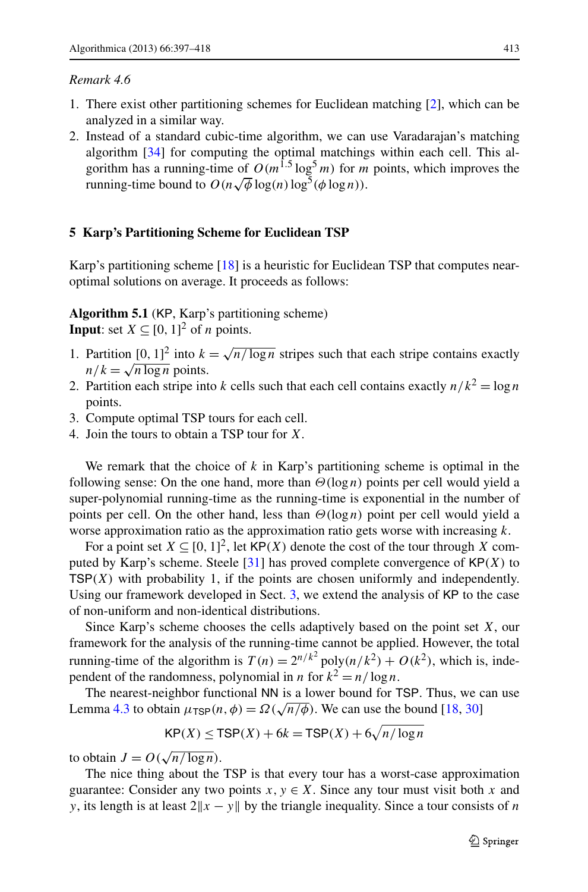## *Remark 4.6*

- 1. There exist other partitioning schemes for Euclidean matching [[2\]](#page-20-20), which can be analyzed in a similar way.
- <span id="page-16-0"></span>2. Instead of a standard cubic-time algorithm, we can use Varadarajan's matching algorithm [\[34](#page-21-5)] for computing the optimal matchings within each cell. This algorithm has a running-time of  $O(m^{1.5} \log^5 m)$  for m points, which improves the running-time bound to  $O(n\sqrt{\phi}\log(n)\log^5(\phi\log n))$ .

## **5 Karp's Partitioning Scheme for Euclidean TSP**

Karp's partitioning scheme [[18](#page-20-5)] is a heuristic for Euclidean TSP that computes nearoptimal solutions on average. It proceeds as follows:

**Algorithm 5.1** (KP, Karp's partitioning scheme) **Input**: set  $X \subseteq [0, 1]^2$  of *n* points.

- 1. Partition  $[0, 1]^2$  into  $k = \sqrt{n/\log n}$  stripes such that each stripe contains exactly  $n/k = \sqrt{n \log n}$  points.
- 2. Partition each stripe into k cells such that each cell contains exactly  $n/k^2 = \log n$ points.
- 3. Compute optimal TSP tours for each cell.
- 4. Join the tours to obtain a TSP tour for X.

We remark that the choice of  $k$  in Karp's partitioning scheme is optimal in the following sense: On the one hand, more than  $\Theta(\log n)$  points per cell would yield a super-polynomial running-time as the running-time is exponential in the number of points per cell. On the other hand, less than  $\Theta(\log n)$  point per cell would yield a worse approximation ratio as the approximation ratio gets worse with increasing  $k$ .

For a point set  $X \subseteq [0, 1]^2$ , let  $KP(X)$  denote the cost of the tour through X com-puted by Karp's scheme. Steele [[31\]](#page-21-0) has proved complete convergence of  $\mathsf{KP}(X)$  to  $TSP(X)$  with probability 1, if the points are chosen uniformly and independently. Using our framework developed in Sect. [3,](#page-5-0) we extend the analysis of KP to the case of non-uniform and non-identical distributions.

Since Karp's scheme chooses the cells adaptively based on the point set  $X$ , our framework for the analysis of the running-time cannot be applied. However, the total running-time of the algorithm is  $T(n) = 2^{n/k^2} \text{poly}(n/k^2) + O(k^2)$ , which is, independent of the randomness, polynomial in *n* for  $k^2 = n/\log n$ .

The nearest-neighbor functional NN is a lower bound for TSP. Thus, we can use Lemma [4.3](#page-13-1) to obtain  $\mu_{\text{TSP}}(n, \phi) = \Omega(\sqrt{n/\phi})$ . We can use the bound [\[18](#page-20-5), [30\]](#page-21-6)

$$
\mathsf{KP}(X) \le \mathsf{TSP}(X) + 6k = \mathsf{TSP}(X) + 6\sqrt{n/\log n}
$$

to obtain  $J = O(\sqrt{n/\log n})$ .

The nice thing about the TSP is that every tour has a worst-case approximation guarantee: Consider any two points  $x, y \in X$ . Since any tour must visit both x and y, its length is at least  $2||x - y||$  by the triangle inequality. Since a tour consists of *n*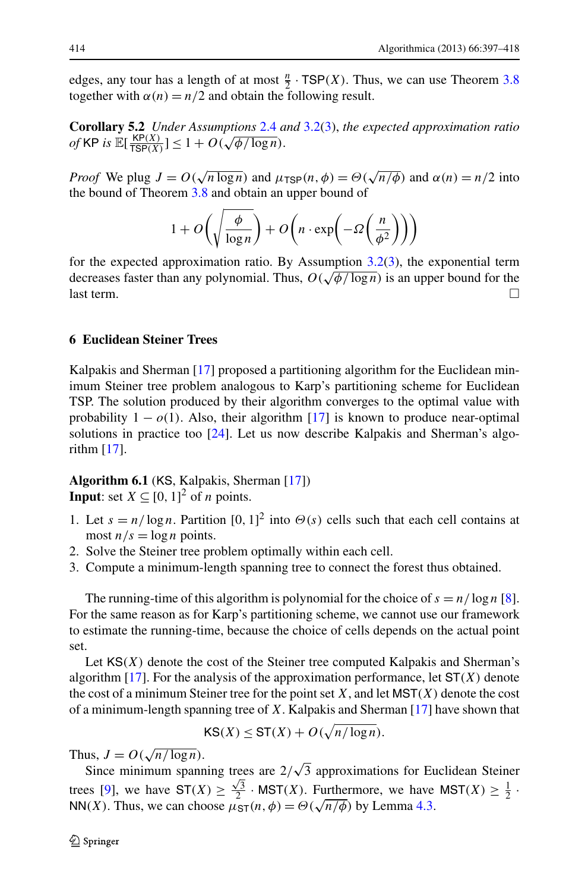<span id="page-17-0"></span>edges, any tour has a length of at most  $\frac{n}{2}$ . TSP(X). Thus, we can use Theorem [3.8](#page-11-1) together with  $\alpha(n) = n/2$  and obtain the following result.

**Corollary 5.2** *Under Assumptions* [2.4](#page-5-5) *and* [3.2\(](#page-5-2)[3\)](#page-5-6), *the expected approximation ratio of* KP *is*  $\mathbb{E}[\frac{\text{KP}(X)}{\text{TSP}(X)}] \leq 1 + O(\sqrt{\phi/\log n}).$ 

*Proof* We plug  $J = O(\sqrt{n \log n})$  and  $\mu_{\text{TSP}}(n, \phi) = O(\sqrt{n/\phi})$  and  $\alpha(n) = n/2$  into the bound of Theorem [3.8](#page-11-1) and obtain an upper bound of

$$
1 + O\left(\sqrt{\frac{\phi}{\log n}}\right) + O\left(n \cdot \exp\left(-\Omega\left(\frac{n}{\phi^2}\right)\right)\right)
$$

<span id="page-17-1"></span>for the expected approximation ratio. By Assumption [3.2](#page-5-2)[\(3](#page-5-6)), the exponential term decreases faster than any polynomial. Thus,  $O(\sqrt{\phi/\log n})$  is an upper bound for the  $\Box$  last term.

# **6 Euclidean Steiner Trees**

Kalpakis and Sherman [[17](#page-20-14)] proposed a partitioning algorithm for the Euclidean minimum Steiner tree problem analogous to Karp's partitioning scheme for Euclidean TSP. The solution produced by their algorithm converges to the optimal value with probability  $1 - o(1)$ . Also, their algorithm [\[17](#page-20-14)] is known to produce near-optimal solutions in practice too [\[24](#page-20-4)]. Let us now describe Kalpakis and Sherman's algorithm [\[17](#page-20-14)].

**Algorithm 6.1** (KS, Kalpakis, Sherman [[17\]](#page-20-14)) **Input**: set  $X \subseteq [0, 1]^2$  of *n* points.

- 1. Let  $s = n/\log n$ . Partition  $[0, 1]^2$  into  $\Theta(s)$  cells such that each cell contains at most  $n/s = \log n$  points.
- 2. Solve the Steiner tree problem optimally within each cell.
- 3. Compute a minimum-length spanning tree to connect the forest thus obtained.

The running-time of this algorithm is polynomial for the choice of  $s = n/\log n$  [[8\]](#page-20-21). For the same reason as for Karp's partitioning scheme, we cannot use our framework to estimate the running-time, because the choice of cells depends on the actual point set.

Let  $\text{KS}(X)$  denote the cost of the Steiner tree computed Kalpakis and Sherman's algorithm  $[17]$  $[17]$ . For the analysis of the approximation performance, let  $ST(X)$  denote the cost of a minimum Steiner tree for the point set  $X$ , and let  $MST(X)$  denote the cost of a minimum-length spanning tree of  $X$ . Kalpakis and Sherman [\[17\]](#page-20-14) have shown that

$$
\mathsf{KS}(X) \leq \mathsf{ST}(X) + O(\sqrt{n/\log n}).
$$

Thus,  $J = O(\sqrt{n/\log n})$ .

Since minimum spanning trees are  $2/\sqrt{3}$  approximations for Euclidean Steiner trees [\[9](#page-20-22)], we have  $ST(X) \ge \frac{\sqrt{3}}{2} \cdot MST(X)$ . Furthermore, we have  $MST(X) \ge \frac{1}{2} \cdot$ NN(X). Thus, we can choose  $\mu_{\text{ST}}(n, \phi) = \Theta(\sqrt{n/\phi})$  by Lemma [4.3.](#page-13-1)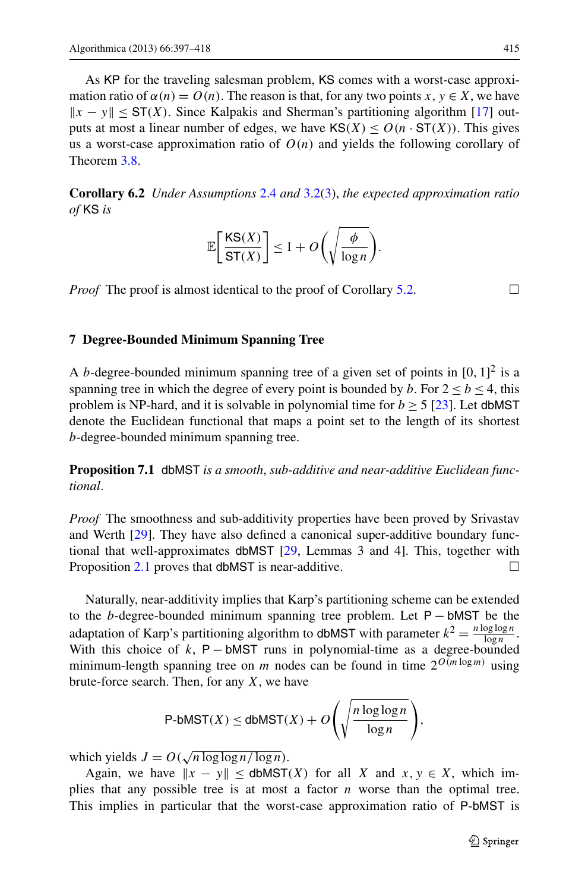<span id="page-18-0"></span>As KP for the traveling salesman problem, KS comes with a worst-case approximation ratio of  $\alpha(n) = O(n)$ . The reason is that, for any two points  $x, y \in X$ , we have  $||x - y|| \leq ST(X)$ . Since Kalpakis and Sherman's partitioning algorithm [[17\]](#page-20-14) outputs at most a linear number of edges, we have  $\text{KS}(X) \leq O(n \cdot \text{ST}(X))$ . This gives us a worst-case approximation ratio of  $O(n)$  and yields the following corollary of Theorem [3.8.](#page-11-1)

<span id="page-18-1"></span>**Corollary 6.2** *Under Assumptions* [2.4](#page-5-5) *and* [3.2\(](#page-5-2)[3\)](#page-5-6), *the expected approximation ratio of* KS *is*

$$
\mathbb{E}\bigg[\frac{\text{KS}(X)}{\text{ST}(X)}\bigg] \le 1 + O\bigg(\sqrt{\frac{\phi}{\log n}}\bigg).
$$

*Proof* The proof is almost identical to the proof of Corollary [5.2.](#page-17-0)  $\Box$ 

### **7 Degree-Bounded Minimum Spanning Tree**

A *b*-degree-bounded minimum spanning tree of a given set of points in  $[0, 1]^2$  is a spanning tree in which the degree of every point is bounded by b. For  $2 \le b \le 4$ , this problem is NP-hard, and it is solvable in polynomial time for  $b \ge 5$  [\[23](#page-20-23)]. Let dbMST denote the Euclidean functional that maps a point set to the length of its shortest b-degree-bounded minimum spanning tree.

**Proposition 7.1** dbMST *is a smooth*, *sub-additive and near-additive Euclidean functional*.

*Proof* The smoothness and sub-additivity properties have been proved by Srivastav and Werth [\[29](#page-21-7)]. They have also defined a canonical super-additive boundary functional that well-approximates dbMST [\[29](#page-21-7), Lemmas 3 and 4]. This, together with Proposition [2.1](#page-4-3) proves that dbMST is near-additive.  $\Box$ 

Naturally, near-additivity implies that Karp's partitioning scheme can be extended to the <sup>b</sup>-degree-bounded minimum spanning tree problem. Let <sup>P</sup> <sup>−</sup> bMST be the adaptation of Karp's partitioning algorithm to dbMST with parameter  $k^2 = \frac{n \log \log n}{\log n}$  $\frac{\log \log n}{\log n}$ . With this choice of k,  $P - bMST$  runs in polynomial-time as a degree-bounded minimum-length spanning tree on m nodes can be found in time  $2^{O(m \log m)}$  using brute-force search. Then, for any  $X$ , we have

$$
\text{P-bMST}(X) \le \text{dbMST}(X) + O\left(\sqrt{\frac{n \log \log n}{\log n}}\right),
$$

which yields  $J = O(\sqrt{n \log \log n / \log n})$ .

Again, we have  $||x - y|| \le$  dbMST(X) for all X and  $x, y \in X$ , which implies that any possible tree is at most a factor  $n$  worse than the optimal tree. This implies in particular that the worst-case approximation ratio of P-bMST is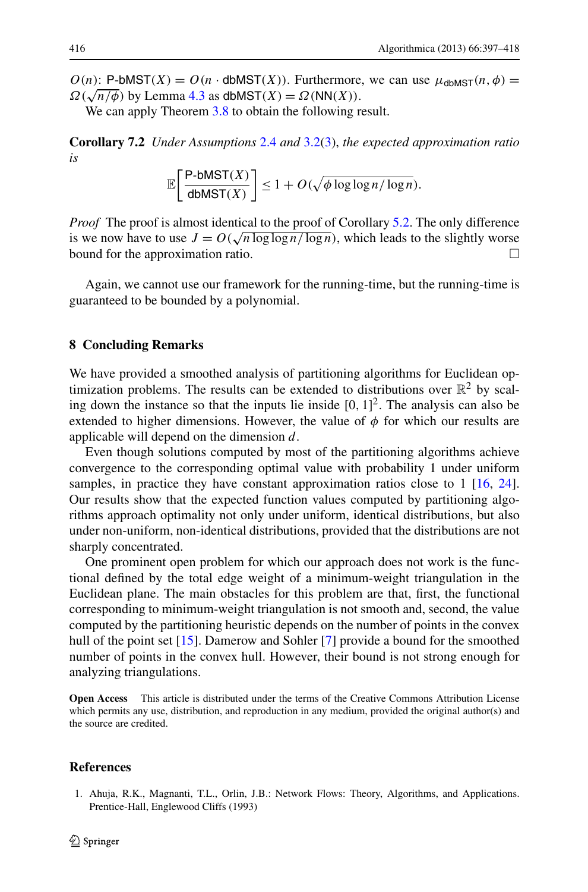<span id="page-19-0"></span> $O(n)$ : P-bMST(X) =  $O(n \cdot$  dbMST(X)). Furthermore, we can use  $\mu_{\text{dbMST}}(n, \phi)$  =  $\Omega(\sqrt{n/\phi})$  by Lemma [4.3](#page-13-1) as dbMST(X) =  $\Omega(NN(X))$ .

We can apply Theorem [3.8](#page-11-1) to obtain the following result.

**Corollary 7.2** *Under Assumptions* [2.4](#page-5-5) *and* [3.2\(](#page-5-2)[3\)](#page-5-6), *the expected approximation ratio is*

$$
\mathbb{E}\bigg[\frac{\text{P-bMST}(X)}{\text{dbMST}(X)}\bigg] \le 1 + O(\sqrt{\phi \log \log n / \log n}).
$$

*Proof* The proof is almost identical to the proof of Corollary [5.2](#page-17-0). The only difference is we now have to use  $J = O(\sqrt{n \log \log n / \log n})$ , which leads to the slightly worse bound for the approximation ratio.

Again, we cannot use our framework for the running-time, but the running-time is guaranteed to be bounded by a polynomial.

## **8 Concluding Remarks**

We have provided a smoothed analysis of partitioning algorithms for Euclidean optimization problems. The results can be extended to distributions over  $\mathbb{R}^2$  by scaling down the instance so that the inputs lie inside  $[0, 1]^2$ . The analysis can also be extended to higher dimensions. However, the value of  $\phi$  for which our results are applicable will depend on the dimension  $d$ .

Even though solutions computed by most of the partitioning algorithms achieve convergence to the corresponding optimal value with probability 1 under uniform samples, in practice they have constant approximation ratios close to 1 [\[16](#page-20-3), [24\]](#page-20-4). Our results show that the expected function values computed by partitioning algorithms approach optimality not only under uniform, identical distributions, but also under non-uniform, non-identical distributions, provided that the distributions are not sharply concentrated.

One prominent open problem for which our approach does not work is the functional defined by the total edge weight of a minimum-weight triangulation in the Euclidean plane. The main obstacles for this problem are that, first, the functional corresponding to minimum-weight triangulation is not smooth and, second, the value computed by the partitioning heuristic depends on the number of points in the convex hull of the point set [[15\]](#page-20-24). Damerow and Sohler [\[7](#page-20-25)] provide a bound for the smoothed number of points in the convex hull. However, their bound is not strong enough for analyzing triangulations.

<span id="page-19-1"></span>**Open Access** This article is distributed under the terms of the Creative Commons Attribution License which permits any use, distribution, and reproduction in any medium, provided the original author(s) and the source are credited.

#### **References**

1. Ahuja, R.K., Magnanti, T.L., Orlin, J.B.: Network Flows: Theory, Algorithms, and Applications. Prentice-Hall, Englewood Cliffs (1993)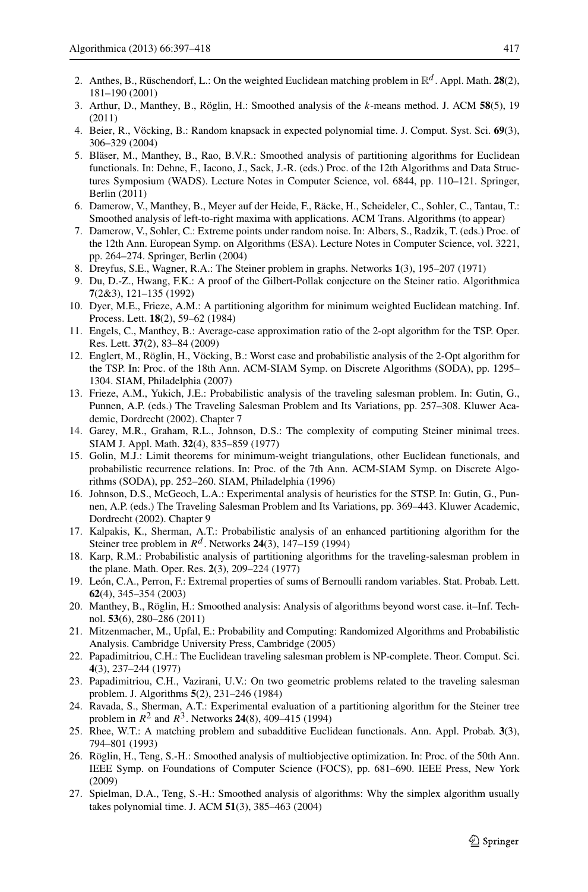- <span id="page-20-20"></span><span id="page-20-9"></span><span id="page-20-8"></span><span id="page-20-7"></span><span id="page-20-0"></span>2. Anthes, B., Rüschendorf, L.: On the weighted Euclidean matching problem in  $\mathbb{R}^d$ . Appl. Math. 28(2), 181–190 (2001)
- <span id="page-20-25"></span>3. Arthur, D., Manthey, B., Röglin, H.: Smoothed analysis of the k-means method. J. ACM **58**(5), 19 (2011)
- 4. Beier, R., Vöcking, B.: Random knapsack in expected polynomial time. J. Comput. Syst. Sci. **69**(3), 306–329 (2004)
- <span id="page-20-22"></span><span id="page-20-21"></span>5. Bläser, M., Manthey, B., Rao, B.V.R.: Smoothed analysis of partitioning algorithms for Euclidean functionals. In: Dehne, F., Iacono, J., Sack, J.-R. (eds.) Proc. of the 12th Algorithms and Data Structures Symposium (WADS). Lecture Notes in Computer Science, vol. 6844, pp. 110–121. Springer, Berlin (2011)
- <span id="page-20-19"></span><span id="page-20-13"></span>6. Damerow, V., Manthey, B., Meyer auf der Heide, F., Räcke, H., Scheideler, C., Sohler, C., Tantau, T.: Smoothed analysis of left-to-right maxima with applications. ACM Trans. Algorithms (to appear)
- <span id="page-20-10"></span>7. Damerow, V., Sohler, C.: Extreme points under random noise. In: Albers, S., Radzik, T. (eds.) Proc. of the 12th Ann. European Symp. on Algorithms (ESA). Lecture Notes in Computer Science, vol. 3221, pp. 264–274. Springer, Berlin (2004)
- <span id="page-20-16"></span>8. Dreyfus, S.E., Wagner, R.A.: The Steiner problem in graphs. Networks **1**(3), 195–207 (1971)
- 9. Du, D.-Z., Hwang, F.K.: A proof of the Gilbert-Pollak conjecture on the Steiner ratio. Algorithmica **7**(2&3), 121–135 (1992)
- <span id="page-20-2"></span>10. Dyer, M.E., Frieze, A.M.: A partitioning algorithm for minimum weighted Euclidean matching. Inf. Process. Lett. **18**(2), 59–62 (1984)
- <span id="page-20-24"></span>11. Engels, C., Manthey, B.: Average-case approximation ratio of the 2-opt algorithm for the TSP. Oper. Res. Lett. **37**(2), 83–84 (2009)
- <span id="page-20-3"></span>12. Englert, M., Röglin, H., Vöcking, B.: Worst case and probabilistic analysis of the 2-Opt algorithm for the TSP. In: Proc. of the 18th Ann. ACM-SIAM Symp. on Discrete Algorithms (SODA), pp. 1295– 1304. SIAM, Philadelphia (2007)
- <span id="page-20-14"></span>13. Frieze, A.M., Yukich, J.E.: Probabilistic analysis of the traveling salesman problem. In: Gutin, G., Punnen, A.P. (eds.) The Traveling Salesman Problem and Its Variations, pp. 257–308. Kluwer Academic, Dordrecht (2002). Chapter 7
- <span id="page-20-5"></span>14. Garey, M.R., Graham, R.L., Johnson, D.S.: The complexity of computing Steiner minimal trees. SIAM J. Appl. Math. **32**(4), 835–859 (1977)
- <span id="page-20-18"></span>15. Golin, M.J.: Limit theorems for minimum-weight triangulations, other Euclidean functionals, and probabilistic recurrence relations. In: Proc. of the 7th Ann. ACM-SIAM Symp. on Discrete Algorithms (SODA), pp. 252–260. SIAM, Philadelphia (1996)
- <span id="page-20-17"></span><span id="page-20-12"></span>16. Johnson, D.S., McGeoch, L.A.: Experimental analysis of heuristics for the STSP. In: Gutin, G., Punnen, A.P. (eds.) The Traveling Salesman Problem and Its Variations, pp. 369–443. Kluwer Academic, Dordrecht (2002). Chapter 9
- <span id="page-20-1"></span>17. Kalpakis, K., Sherman, A.T.: Probabilistic analysis of an enhanced partitioning algorithm for the Steiner tree problem in  $R^d$ . Networks 24(3), 147–159 (1994)
- <span id="page-20-23"></span>18. Karp, R.M.: Probabilistic analysis of partitioning algorithms for the traveling-salesman problem in the plane. Math. Oper. Res. **2**(3), 209–224 (1977)
- <span id="page-20-4"></span>19. León, C.A., Perron, F.: Extremal properties of sums of Bernoulli random variables. Stat. Probab. Lett. **62**(4), 345–354 (2003)
- <span id="page-20-15"></span>20. Manthey, B., Röglin, H.: Smoothed analysis: Analysis of algorithms beyond worst case. it–Inf. Technol. **53**(6), 280–286 (2011)
- <span id="page-20-11"></span>21. Mitzenmacher, M., Upfal, E.: Probability and Computing: Randomized Algorithms and Probabilistic Analysis. Cambridge University Press, Cambridge (2005)
- 22. Papadimitriou, C.H.: The Euclidean traveling salesman problem is NP-complete. Theor. Comput. Sci. **4**(3), 237–244 (1977)
- <span id="page-20-6"></span>23. Papadimitriou, C.H., Vazirani, U.V.: On two geometric problems related to the traveling salesman problem. J. Algorithms **5**(2), 231–246 (1984)
- 24. Ravada, S., Sherman, A.T.: Experimental evaluation of a partitioning algorithm for the Steiner tree problem in  $R^2$  and  $R^3$ . Networks **24**(8), 409–415 (1994)
- 25. Rhee, W.T.: A matching problem and subadditive Euclidean functionals. Ann. Appl. Probab. **3**(3), 794–801 (1993)
- 26. Röglin, H., Teng, S.-H.: Smoothed analysis of multiobjective optimization. In: Proc. of the 50th Ann. IEEE Symp. on Foundations of Computer Science (FOCS), pp. 681–690. IEEE Press, New York (2009)
- 27. Spielman, D.A., Teng, S.-H.: Smoothed analysis of algorithms: Why the simplex algorithm usually takes polynomial time. J. ACM **51**(3), 385–463 (2004)